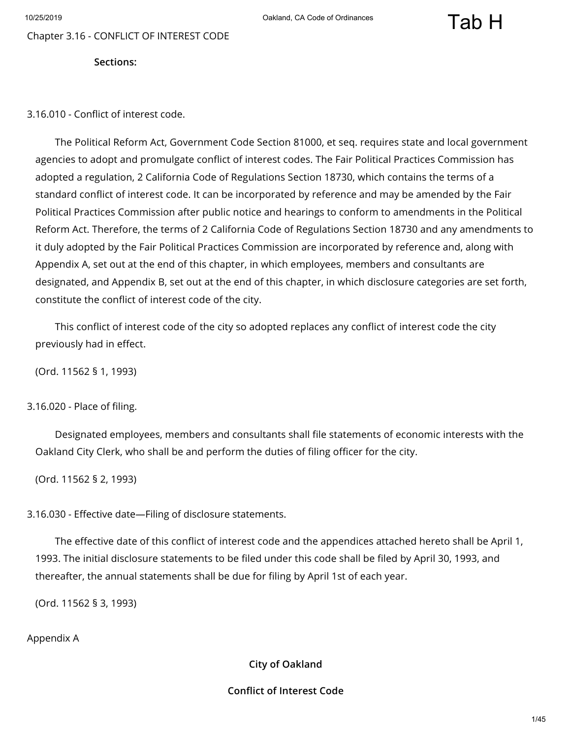Chapter 3.16 - CONFLICT OF INTEREST CODE

**Sections:**

3.16.010 - Conflict of interest code.

The Political Reform Act, Government Code Section 81000, et seq. requires state and local government agencies to adopt and promulgate conflict of interest codes. The Fair Political Practices Commission has adopted a regulation, 2 California Code of Regulations Section 18730, which contains the terms of a standard conflict of interest code. It can be incorporated by reference and may be amended by the Fair Political Practices Commission after public notice and hearings to conform to amendments in the Political Reform Act. Therefore, the terms of 2 California Code of Regulations Section 18730 and any amendments to it duly adopted by the Fair Political Practices Commission are incorporated by reference and, along with Appendix A, set out at the end of this chapter, in which employees, members and consultants are designated, and Appendix B, set out at the end of this chapter, in which disclosure categories are set forth, constitute the conflict of interest code of the city.

This conflict of interest code of the city so adopted replaces any conflict of interest code the city previously had in effect.

(Ord. 11562 § 1, 1993)

#### 3.16.020 - Place of filing.

Designated employees, members and consultants shall file statements of economic interests with the Oakland City Clerk, who shall be and perform the duties of filing officer for the city.

(Ord. 11562 § 2, 1993)

3.16.030 - Effective date-Filing of disclosure statements.

The effective date of this conflict of interest code and the appendices attached hereto shall be April 1, 1993. The initial disclosure statements to be filed under this code shall be filed by April 30, 1993, and thereafter, the annual statements shall be due for filing by April 1st of each year.

(Ord. 11562 § 3, 1993)

Appendix A

**City of Oakland**

#### **Conflict of Interest Code**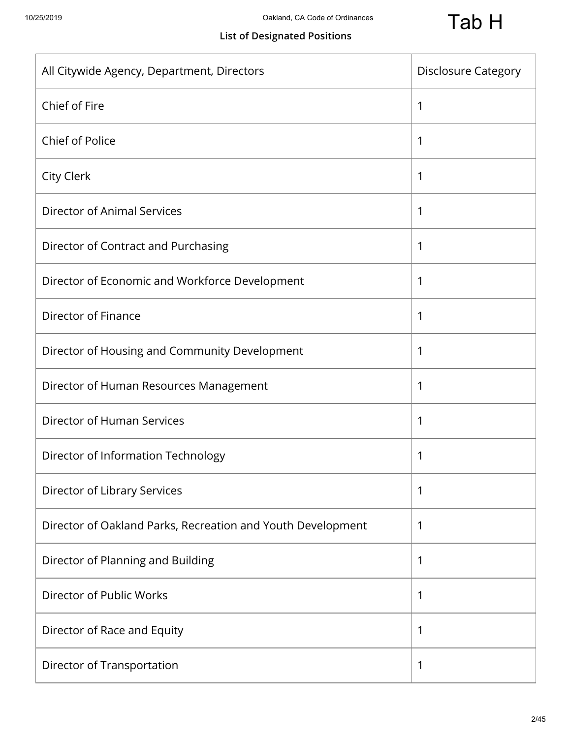# **List of Designated Positions**

| All Citywide Agency, Department, Directors                  | <b>Disclosure Category</b> |
|-------------------------------------------------------------|----------------------------|
| Chief of Fire                                               | 1                          |
| Chief of Police                                             | 1                          |
| <b>City Clerk</b>                                           | 1                          |
| <b>Director of Animal Services</b>                          | 1                          |
| Director of Contract and Purchasing                         | 1                          |
| Director of Economic and Workforce Development              | 1                          |
| Director of Finance                                         | 1                          |
| Director of Housing and Community Development               | 1                          |
| Director of Human Resources Management                      | 1                          |
| Director of Human Services                                  | 1                          |
| Director of Information Technology                          | 1                          |
| Director of Library Services                                | 1                          |
| Director of Oakland Parks, Recreation and Youth Development | 1                          |
| Director of Planning and Building                           | 1                          |
| Director of Public Works                                    | 1                          |
| Director of Race and Equity                                 | 1                          |
| Director of Transportation                                  | 1                          |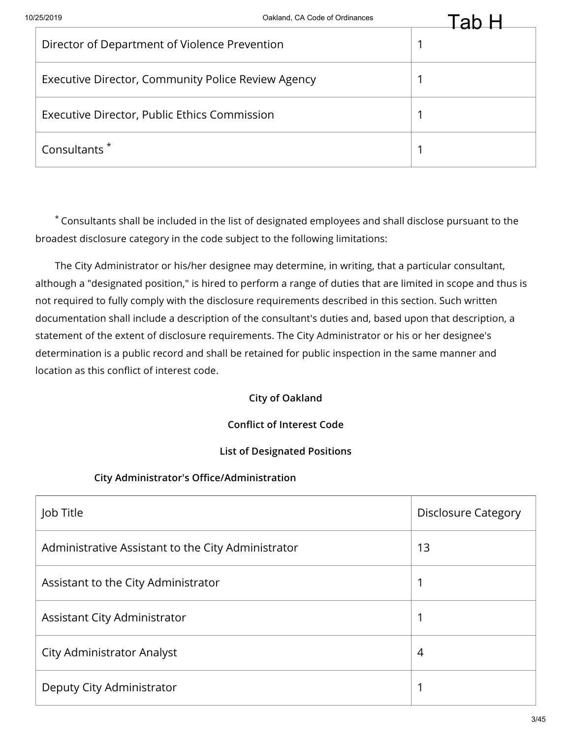| Director of Department of Violence Prevention      |  |
|----------------------------------------------------|--|
| Executive Director, Community Police Review Agency |  |
| Executive Director, Public Ethics Commission       |  |
| Consultants <sup>*</sup>                           |  |

The City Administrator or his/her designee may determine, in writing, that a particular consultant, although a "designated position," is hired to perform a range of duties that are limited in scope and thus is not required to fully comply with the disclosure requirements described in this section. Such written documentation shall include a description of the consultant's duties and, based upon that description, a statement of the extent of disclosure requirements. The City Administrator or his or her designee's determination is a public record and shall be retained for public inspection in the same manner and location as this conflict of interest code.

#### **City of Oakland**

#### **Conflict of Interest Code**

#### **List of Designated Positions**

#### **City Administrator's Office/Administration**

| Job Title                                          | <b>Disclosure Category</b> |
|----------------------------------------------------|----------------------------|
| Administrative Assistant to the City Administrator | 13                         |
| Assistant to the City Administrator                |                            |
| Assistant City Administrator                       |                            |
| <b>City Administrator Analyst</b>                  | 4                          |
| Deputy City Administrator                          |                            |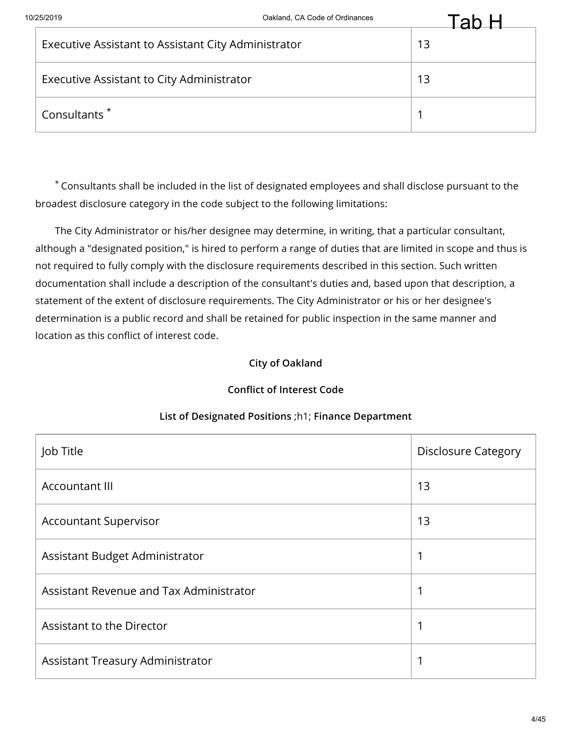| Executive Assistant to Assistant City Administrator | 13 |
|-----------------------------------------------------|----|
| Executive Assistant to City Administrator           | 13 |
| Consultants <sup>*</sup>                            |    |

The City Administrator or his/her designee may determine, in writing, that a particular consultant, although a "designated position," is hired to perform a range of duties that are limited in scope and thus is not required to fully comply with the disclosure requirements described in this section. Such written documentation shall include a description of the consultant's duties and, based upon that description, a statement of the extent of disclosure requirements. The City Administrator or his or her designee's determination is a public record and shall be retained for public inspection in the same manner and location as this conflict of interest code.

# **City of Oakland**

# **Conflict of Interest Code**

| Job Title                               | <b>Disclosure Category</b> |
|-----------------------------------------|----------------------------|
| <b>Accountant III</b>                   | 13                         |
| <b>Accountant Supervisor</b>            | 13                         |
| Assistant Budget Administrator          | 1                          |
| Assistant Revenue and Tax Administrator | 1                          |
| Assistant to the Director               |                            |
| Assistant Treasury Administrator        | 1                          |

# **List of Designated Positions** ;h1; **Finance Department**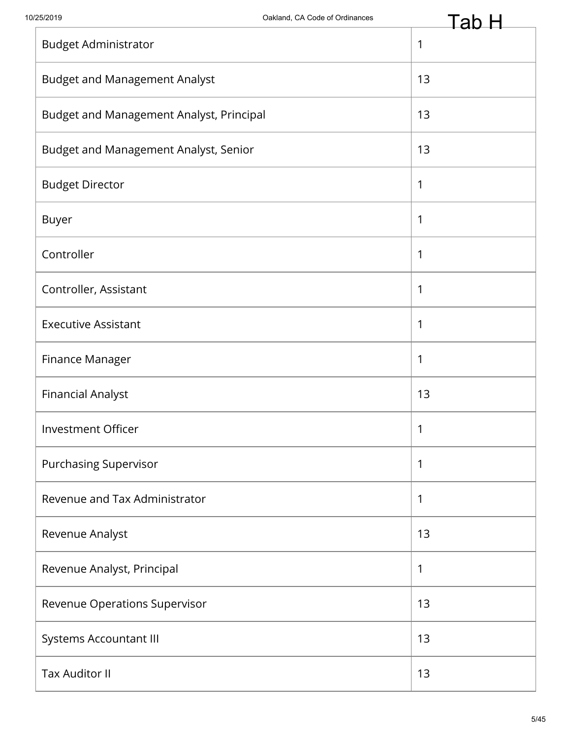|                                          | ∽  |
|------------------------------------------|----|
| <b>Budget Administrator</b>              | 1  |
| <b>Budget and Management Analyst</b>     | 13 |
| Budget and Management Analyst, Principal | 13 |
| Budget and Management Analyst, Senior    | 13 |
| <b>Budget Director</b>                   | 1  |
| <b>Buyer</b>                             | 1  |
| Controller                               | 1  |
| Controller, Assistant                    | 1  |
| <b>Executive Assistant</b>               | 1  |
| Finance Manager                          | 1  |
| <b>Financial Analyst</b>                 | 13 |
| Investment Officer                       | 1  |
| <b>Purchasing Supervisor</b>             | 1  |
| Revenue and Tax Administrator            | 1  |
| Revenue Analyst                          | 13 |
| Revenue Analyst, Principal               | 1  |
| Revenue Operations Supervisor            | 13 |
| <b>Systems Accountant III</b>            | 13 |
| <b>Tax Auditor II</b>                    | 13 |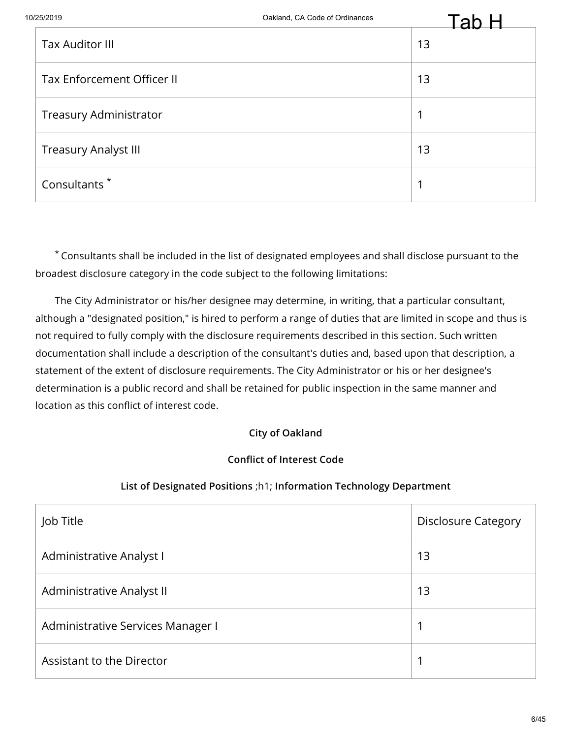| 10/25/2019                    | Oakland, CA Code of Ordinances | Tah |
|-------------------------------|--------------------------------|-----|
| <b>Tax Auditor III</b>        |                                | 13  |
| Tax Enforcement Officer II    |                                | 13  |
| <b>Treasury Administrator</b> |                                | ◢   |
| <b>Treasury Analyst III</b>   |                                | 13  |
| Consultants <sup>*</sup>      |                                | ◢   |

The City Administrator or his/her designee may determine, in writing, that a particular consultant, although a "designated position," is hired to perform a range of duties that are limited in scope and thus is not required to fully comply with the disclosure requirements described in this section. Such written documentation shall include a description of the consultant's duties and, based upon that description, a statement of the extent of disclosure requirements. The City Administrator or his or her designee's determination is a public record and shall be retained for public inspection in the same manner and location as this conflict of interest code.

# **City of Oakland**

# **Conflict of Interest Code**

#### **List of Designated Positions** ;h1; **Information Technology Department**

| Job Title                         | <b>Disclosure Category</b> |
|-----------------------------------|----------------------------|
| Administrative Analyst I          | 13                         |
| Administrative Analyst II         | 13                         |
| Administrative Services Manager I | 1                          |
| Assistant to the Director         | ◢                          |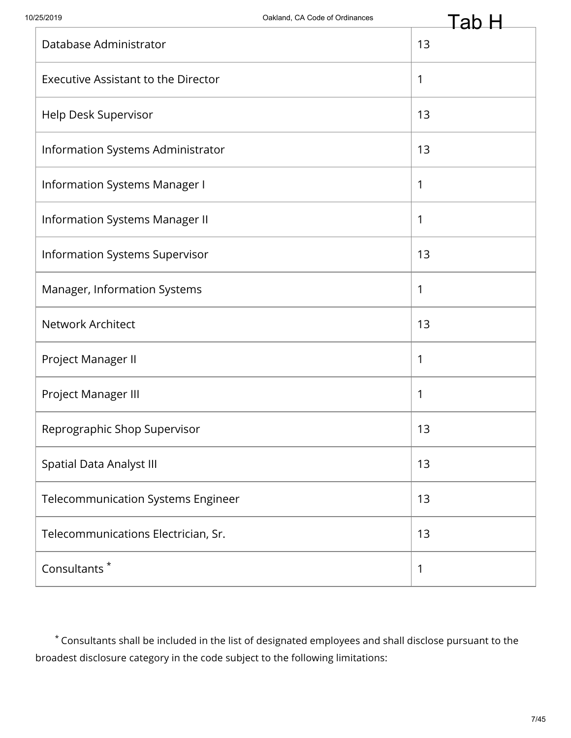|                                            | 3D. |
|--------------------------------------------|-----|
| Database Administrator                     | 13  |
| <b>Executive Assistant to the Director</b> | 1   |
| Help Desk Supervisor                       | 13  |
| Information Systems Administrator          | 13  |
| <b>Information Systems Manager I</b>       | 1   |
| <b>Information Systems Manager II</b>      | 1   |
| Information Systems Supervisor             | 13  |
| Manager, Information Systems               | 1   |
| <b>Network Architect</b>                   | 13  |
| Project Manager II                         | 1   |
| Project Manager III                        | 1   |
| Reprographic Shop Supervisor               | 13  |
| <b>Spatial Data Analyst III</b>            | 13  |
| <b>Telecommunication Systems Engineer</b>  | 13  |
| Telecommunications Electrician, Sr.        | 13  |
| Consultants <sup>*</sup>                   | 1   |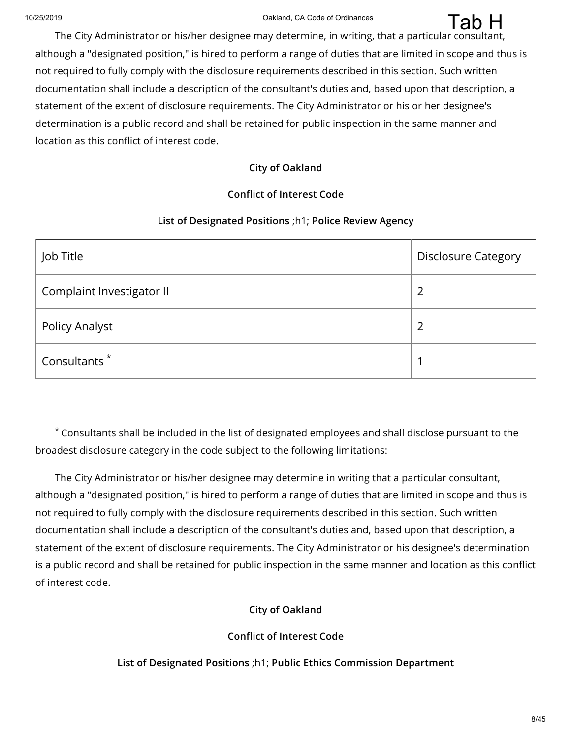The City Administrator or his/her designee may determine, in writing, that a particular consultant, although a "designated position," is hired to perform a range of duties that are limited in scope and thus is not required to fully comply with the disclosure requirements described in this section. Such written documentation shall include a description of the consultant's duties and, based upon that description, a statement of the extent of disclosure requirements. The City Administrator or his or her designee's determination is a public record and shall be retained for public inspection in the same manner and location as this conflict of interest code. Tab H

#### **City of Oakland**

## **Conflict of Interest Code**

#### **List of Designated Positions** ;h1; **Police Review Agency**

| Job Title                 | <b>Disclosure Category</b> |
|---------------------------|----------------------------|
| Complaint Investigator II | 2                          |
| <b>Policy Analyst</b>     | 2                          |
| Consultants <sup>*</sup>  |                            |

Consultants shall be included in the list of designated employees and shall disclose pursuant to the \* broadest disclosure category in the code subject to the following limitations:

The City Administrator or his/her designee may determine in writing that a particular consultant, although a "designated position," is hired to perform a range of duties that are limited in scope and thus is not required to fully comply with the disclosure requirements described in this section. Such written documentation shall include a description of the consultant's duties and, based upon that description, a statement of the extent of disclosure requirements. The City Administrator or his designee's determination is a public record and shall be retained for public inspection in the same manner and location as this conflict of interest code.

# **City of Oakland**

# **Conflict of Interest Code**

**List of Designated Positions** ;h1; **Public Ethics Commission Department**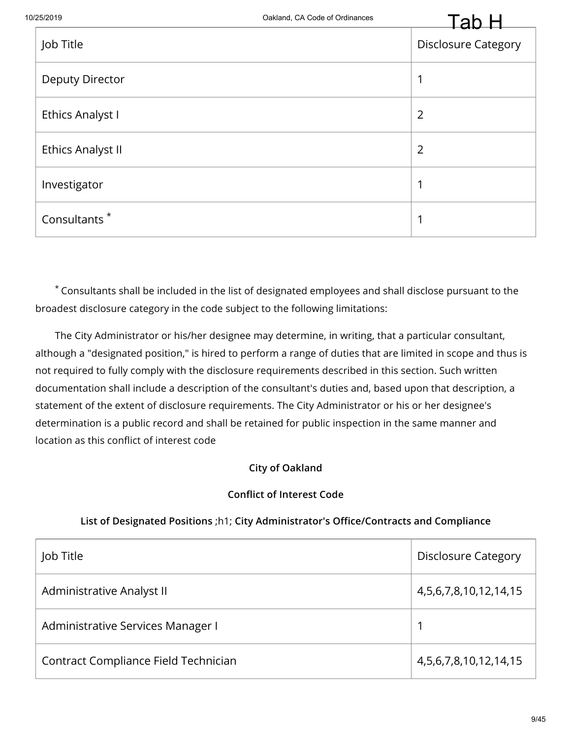| Job Title                | ⊷<br><b>Disclosure Category</b> |
|--------------------------|---------------------------------|
| <b>Deputy Director</b>   | 1                               |
| Ethics Analyst I         | $\overline{2}$                  |
| <b>Ethics Analyst II</b> | $\overline{2}$                  |
| Investigator             | 1                               |
| Consultants <sup>*</sup> | 1                               |

Consultants shall be included in the list of designated employees and shall disclose pursuant to the \* broadest disclosure category in the code subject to the following limitations:

The City Administrator or his/her designee may determine, in writing, that a particular consultant, although a "designated position," is hired to perform a range of duties that are limited in scope and thus is not required to fully comply with the disclosure requirements described in this section. Such written documentation shall include a description of the consultant's duties and, based upon that description, a statement of the extent of disclosure requirements. The City Administrator or his or her designee's determination is a public record and shall be retained for public inspection in the same manner and location as this conflict of interest code

# **City of Oakland**

#### **Conflict of Interest Code**

#### **List of Designated Positions** ;h1; **City Administrator's Office/Contracts and Compliance**

| Job Title                            | <b>Disclosure Category</b>    |
|--------------------------------------|-------------------------------|
| Administrative Analyst II            | 4, 5, 6, 7, 8, 10, 12, 14, 15 |
| Administrative Services Manager I    |                               |
| Contract Compliance Field Technician | 4, 5, 6, 7, 8, 10, 12, 14, 15 |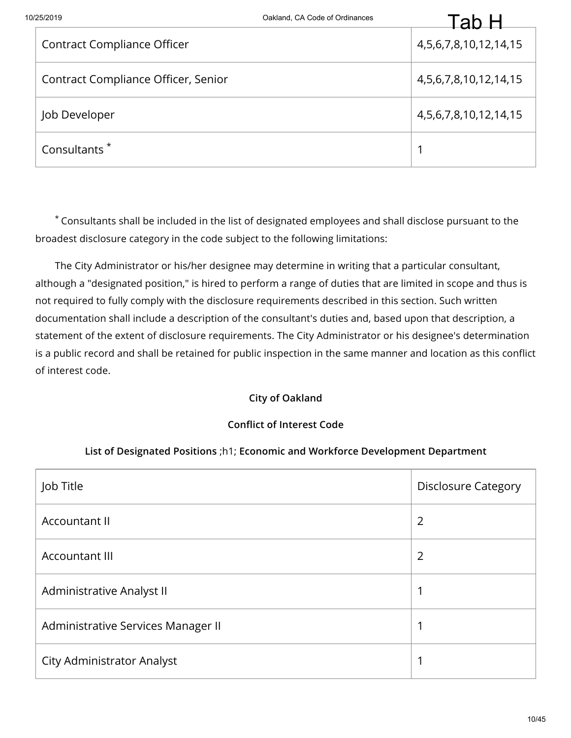| 25/2019                             | Oakland, CA Code of Ordinances | ัล                            |
|-------------------------------------|--------------------------------|-------------------------------|
| <b>Contract Compliance Officer</b>  |                                | 4, 5, 6, 7, 8, 10, 12, 14, 15 |
| Contract Compliance Officer, Senior |                                | 4, 5, 6, 7, 8, 10, 12, 14, 15 |
| Job Developer                       |                                | 4, 5, 6, 7, 8, 10, 12, 14, 15 |
| Consultants <sup>*</sup>            |                                |                               |

The City Administrator or his/her designee may determine in writing that a particular consultant, although a "designated position," is hired to perform a range of duties that are limited in scope and thus is not required to fully comply with the disclosure requirements described in this section. Such written documentation shall include a description of the consultant's duties and, based upon that description, a statement of the extent of disclosure requirements. The City Administrator or his designee's determination is a public record and shall be retained for public inspection in the same manner and location as this conflict of interest code.

# **City of Oakland**

#### **Conflict of Interest Code**

#### **List of Designated Positions** ;h1; **Economic and Workforce Development Department**

| Job Title                          | <b>Disclosure Category</b> |
|------------------------------------|----------------------------|
| Accountant II                      | 2                          |
| <b>Accountant III</b>              | 2                          |
| Administrative Analyst II          | 1                          |
| Administrative Services Manager II | 1                          |
| <b>City Administrator Analyst</b>  |                            |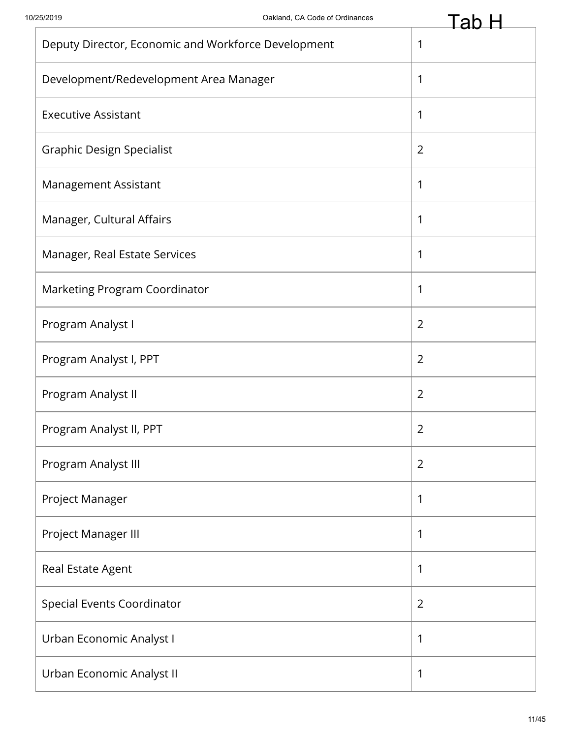| Deputy Director, Economic and Workforce Development | 1              |
|-----------------------------------------------------|----------------|
| Development/Redevelopment Area Manager              | 1              |
| <b>Executive Assistant</b>                          | 1              |
| <b>Graphic Design Specialist</b>                    | $\overline{2}$ |
| Management Assistant                                | 1              |
| Manager, Cultural Affairs                           | 1              |
| Manager, Real Estate Services                       | 1              |
| Marketing Program Coordinator                       | 1              |
| Program Analyst I                                   | $\overline{2}$ |
| Program Analyst I, PPT                              | 2              |
| Program Analyst II                                  | $\overline{2}$ |
| Program Analyst II, PPT                             | $\overline{2}$ |
| Program Analyst III                                 | $\overline{2}$ |
| Project Manager                                     | 1              |
| Project Manager III                                 | 1              |
| Real Estate Agent                                   | 1              |
| <b>Special Events Coordinator</b>                   | $\overline{2}$ |
| Urban Economic Analyst I                            | 1              |
| Urban Economic Analyst II                           | 1              |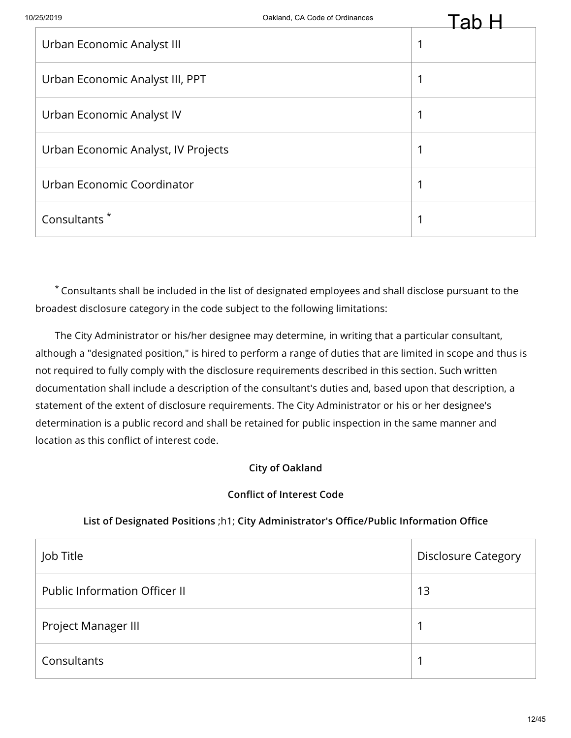| Urban Economic Analyst III          | -61 |
|-------------------------------------|-----|
| Urban Economic Analyst III, PPT     |     |
| Urban Economic Analyst IV           |     |
| Urban Economic Analyst, IV Projects |     |
| Urban Economic Coordinator          |     |
| Consultants <sup>*</sup>            |     |

The City Administrator or his/her designee may determine, in writing that a particular consultant, although a "designated position," is hired to perform a range of duties that are limited in scope and thus is not required to fully comply with the disclosure requirements described in this section. Such written documentation shall include a description of the consultant's duties and, based upon that description, a statement of the extent of disclosure requirements. The City Administrator or his or her designee's determination is a public record and shall be retained for public inspection in the same manner and location as this conflict of interest code.

# **City of Oakland**

# **Conflict of Interest Code**

# **List of Designated Positions** ;h1; **City Administrator's Office/Public Information Office**

| Job Title                            | <b>Disclosure Category</b> |
|--------------------------------------|----------------------------|
| <b>Public Information Officer II</b> | 13                         |
| Project Manager III                  |                            |
| Consultants                          |                            |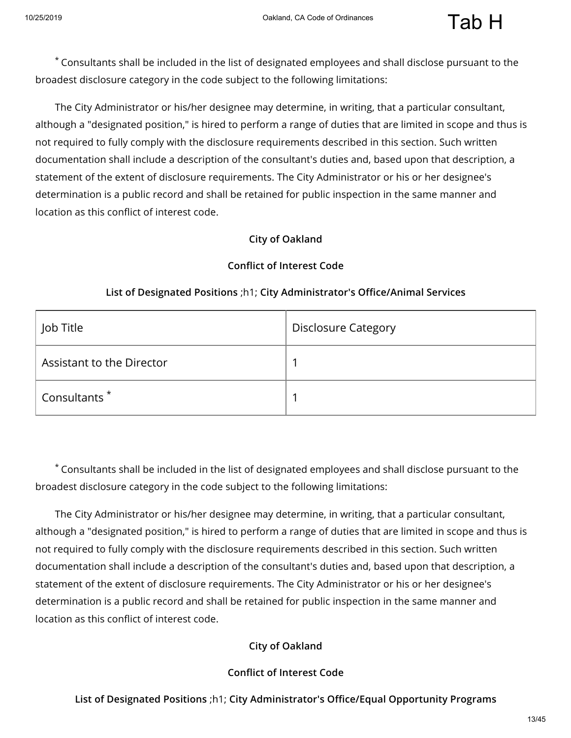The City Administrator or his/her designee may determine, in writing, that a particular consultant, although a "designated position," is hired to perform a range of duties that are limited in scope and thus is not required to fully comply with the disclosure requirements described in this section. Such written documentation shall include a description of the consultant's duties and, based upon that description, a statement of the extent of disclosure requirements. The City Administrator or his or her designee's determination is a public record and shall be retained for public inspection in the same manner and location as this conflict of interest code.

#### **City of Oakland**

#### **Conflict of Interest Code**

| Job Title                 | <b>Disclosure Category</b> |
|---------------------------|----------------------------|
| Assistant to the Director |                            |
| Consultants <sup>*</sup>  |                            |

#### **List of Designated Positions** ;h1; **City Administrator's Office/Animal Services**

Consultants shall be included in the list of designated employees and shall disclose pursuant to the \* broadest disclosure category in the code subject to the following limitations:

The City Administrator or his/her designee may determine, in writing, that a particular consultant, although a "designated position," is hired to perform a range of duties that are limited in scope and thus is not required to fully comply with the disclosure requirements described in this section. Such written documentation shall include a description of the consultant's duties and, based upon that description, a statement of the extent of disclosure requirements. The City Administrator or his or her designee's determination is a public record and shall be retained for public inspection in the same manner and location as this conflict of interest code.

#### **City of Oakland**

#### **Conflict of Interest Code**

#### **List of Designated Positions** ;h1; **City Administrator's Office/Equal Opportunity Programs**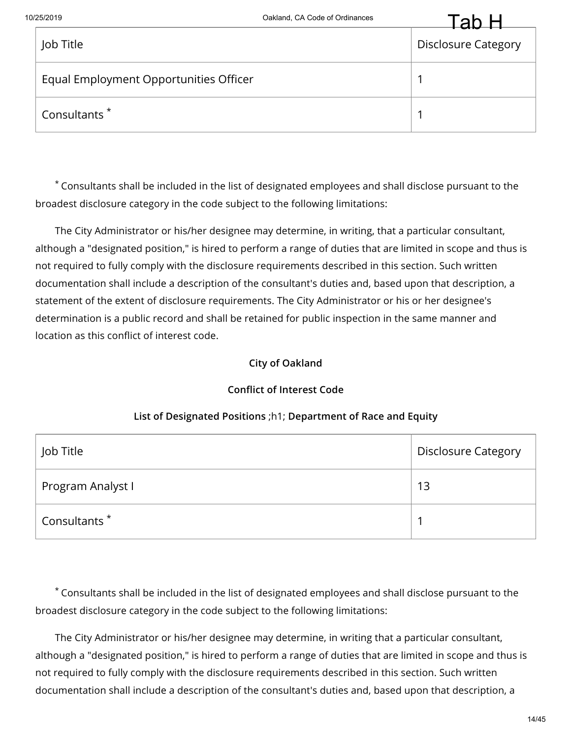

|                                        | .                          |
|----------------------------------------|----------------------------|
| Job Title                              | <b>Disclosure Category</b> |
| Equal Employment Opportunities Officer |                            |
| Consultants <sup>*</sup>               |                            |

The City Administrator or his/her designee may determine, in writing, that a particular consultant, although a "designated position," is hired to perform a range of duties that are limited in scope and thus is not required to fully comply with the disclosure requirements described in this section. Such written documentation shall include a description of the consultant's duties and, based upon that description, a statement of the extent of disclosure requirements. The City Administrator or his or her designee's determination is a public record and shall be retained for public inspection in the same manner and location as this conflict of interest code.

#### **City of Oakland**

# **Conflict of Interest Code**

| Job Title                | <b>Disclosure Category</b> |
|--------------------------|----------------------------|
| Program Analyst I        | 13                         |
| Consultants <sup>*</sup> |                            |

#### **List of Designated Positions** ;h1; **Department of Race and Equity**

Consultants shall be included in the list of designated employees and shall disclose pursuant to the \* broadest disclosure category in the code subject to the following limitations:

The City Administrator or his/her designee may determine, in writing that a particular consultant, although a "designated position," is hired to perform a range of duties that are limited in scope and thus is not required to fully comply with the disclosure requirements described in this section. Such written documentation shall include a description of the consultant's duties and, based upon that description, a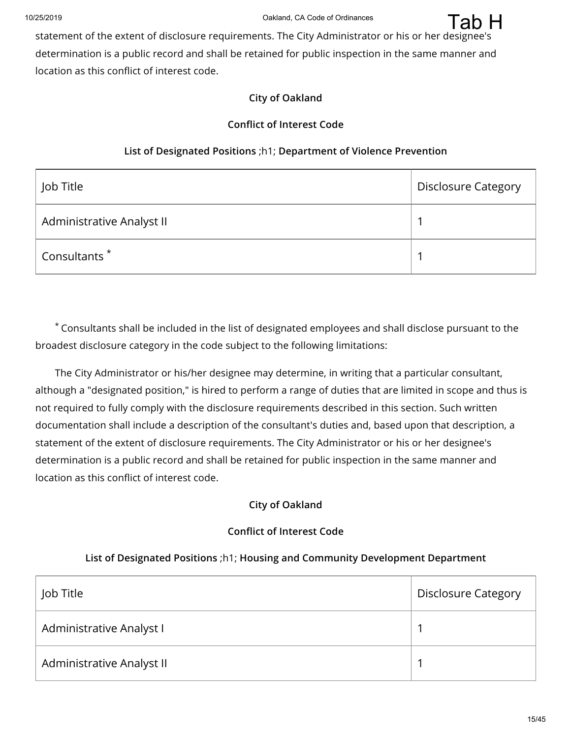

#### **City of Oakland**

#### **Conflict of Interest Code**

#### **List of Designated Positions** ;h1; **Department of Violence Prevention**

| Job Title                 | <b>Disclosure Category</b> |
|---------------------------|----------------------------|
| Administrative Analyst II |                            |
| Consultants <sup>*</sup>  |                            |

Consultants shall be included in the list of designated employees and shall disclose pursuant to the \* broadest disclosure category in the code subject to the following limitations:

The City Administrator or his/her designee may determine, in writing that a particular consultant, although a "designated position," is hired to perform a range of duties that are limited in scope and thus is not required to fully comply with the disclosure requirements described in this section. Such written documentation shall include a description of the consultant's duties and, based upon that description, a statement of the extent of disclosure requirements. The City Administrator or his or her designee's determination is a public record and shall be retained for public inspection in the same manner and location as this conflict of interest code.

#### **City of Oakland**

#### **Conflict of Interest Code**

#### **List of Designated Positions** ;h1; **Housing and Community Development Department**

| Job Title                 | <b>Disclosure Category</b> |
|---------------------------|----------------------------|
| Administrative Analyst I  |                            |
| Administrative Analyst II |                            |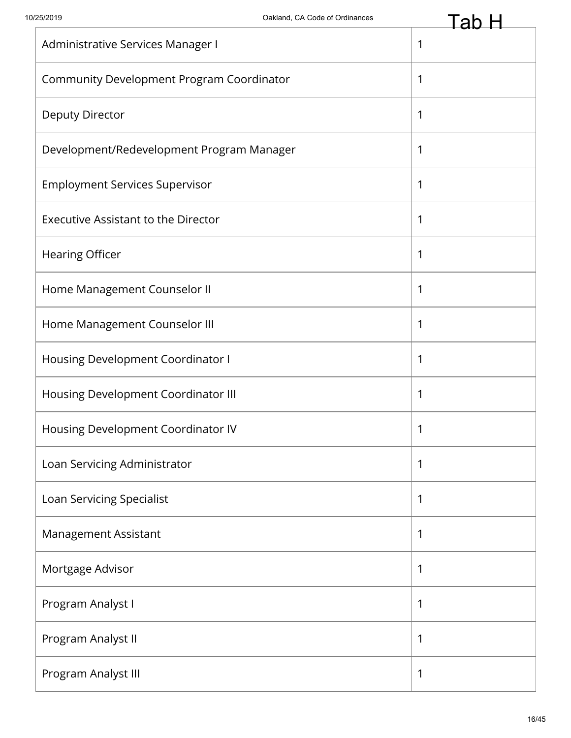| Administrative Services Manager I          | 1 |
|--------------------------------------------|---|
| Community Development Program Coordinator  | 1 |
| Deputy Director                            | 1 |
| Development/Redevelopment Program Manager  | 1 |
| <b>Employment Services Supervisor</b>      | 1 |
| <b>Executive Assistant to the Director</b> | 1 |
| <b>Hearing Officer</b>                     | 1 |
| Home Management Counselor II               | 1 |
| Home Management Counselor III              | 1 |
| Housing Development Coordinator I          | 1 |
| Housing Development Coordinator III        | 1 |
| Housing Development Coordinator IV         | 1 |
| Loan Servicing Administrator               | 1 |
| Loan Servicing Specialist                  | 1 |
| Management Assistant                       | 1 |
| Mortgage Advisor                           | 1 |
| Program Analyst I                          | 1 |
| Program Analyst II                         | 1 |
| Program Analyst III                        | 1 |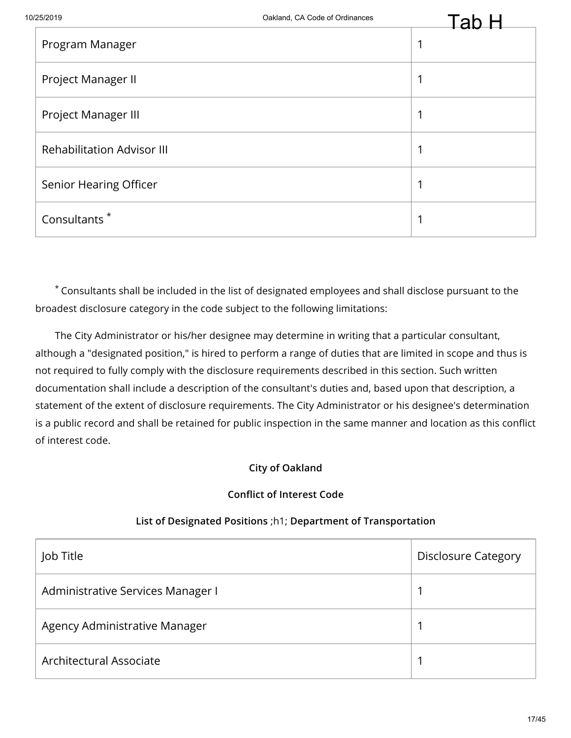|                                   | ▱ |
|-----------------------------------|---|
| Program Manager                   |   |
| Project Manager II                | и |
| Project Manager III               | ◢ |
| <b>Rehabilitation Advisor III</b> | 1 |
| Senior Hearing Officer            | 1 |
| Consultants <sup>*</sup>          | 1 |

The City Administrator or his/her designee may determine in writing that a particular consultant, although a "designated position," is hired to perform a range of duties that are limited in scope and thus is not required to fully comply with the disclosure requirements described in this section. Such written documentation shall include a description of the consultant's duties and, based upon that description, a statement of the extent of disclosure requirements. The City Administrator or his designee's determination is a public record and shall be retained for public inspection in the same manner and location as this conflict of interest code.

# **City of Oakland**

# **Conflict of Interest Code**

# **List of Designated Positions** ;h1; **Department of Transportation**

| Job Title                         | <b>Disclosure Category</b> |
|-----------------------------------|----------------------------|
| Administrative Services Manager I |                            |
| Agency Administrative Manager     |                            |
| Architectural Associate           |                            |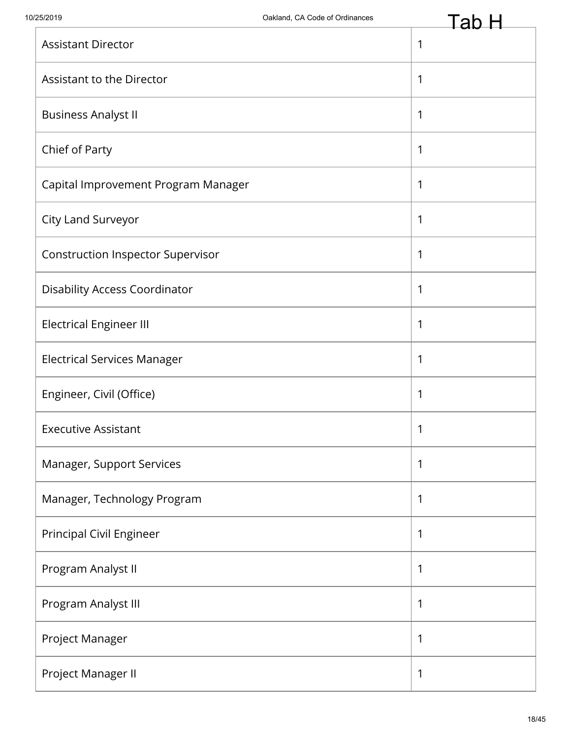|                                          | <b>Lav</b>   |
|------------------------------------------|--------------|
| <b>Assistant Director</b>                | $\mathbf{1}$ |
| Assistant to the Director                | $\mathbf{1}$ |
| <b>Business Analyst II</b>               | $\mathbf{1}$ |
| Chief of Party                           | 1            |
| Capital Improvement Program Manager      | $\mathbf{1}$ |
| City Land Surveyor                       | $\mathbf{1}$ |
| <b>Construction Inspector Supervisor</b> | $\mathbf{1}$ |
| <b>Disability Access Coordinator</b>     | $\mathbf 1$  |
| <b>Electrical Engineer III</b>           | $\mathbf{1}$ |
| <b>Electrical Services Manager</b>       | $\mathbf{1}$ |
| Engineer, Civil (Office)                 | $\mathbf{1}$ |
| <b>Executive Assistant</b>               | 1            |
| Manager, Support Services                | $\mathbf 1$  |
| Manager, Technology Program              | $\mathbf{1}$ |
| Principal Civil Engineer                 | $\mathbf{1}$ |
| Program Analyst II                       | 1            |
| Program Analyst III                      | $\mathbf{1}$ |
| Project Manager                          | $\mathbf{1}$ |
| Project Manager II                       | 1            |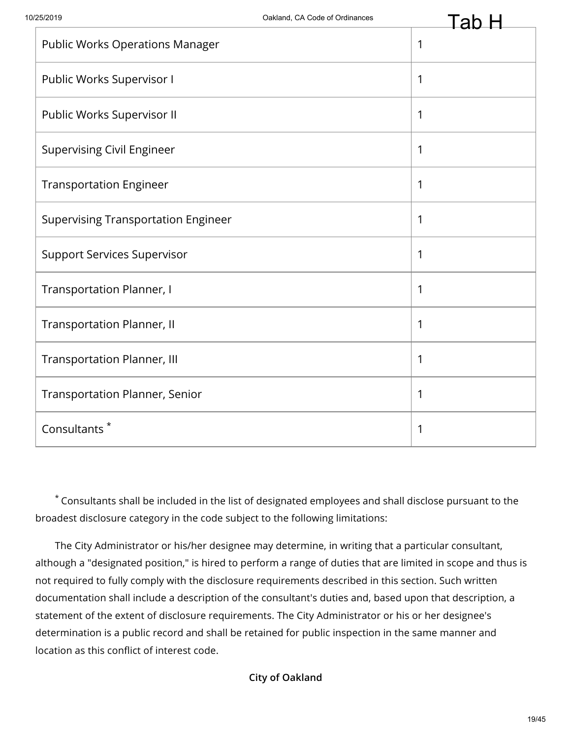| <b>Public Works Operations Manager</b>     | 1 |
|--------------------------------------------|---|
| Public Works Supervisor I                  | 1 |
| Public Works Supervisor II                 | 1 |
| <b>Supervising Civil Engineer</b>          | 1 |
| <b>Transportation Engineer</b>             | 1 |
| <b>Supervising Transportation Engineer</b> | 1 |
| <b>Support Services Supervisor</b>         | 1 |
| <b>Transportation Planner, I</b>           | 1 |
| <b>Transportation Planner, II</b>          | 1 |
| <b>Transportation Planner, III</b>         | 1 |
| <b>Transportation Planner, Senior</b>      | 1 |
| Consultants <sup>*</sup>                   | 1 |

Consultants shall be included in the list of designated employees and shall disclose pursuant to the \* broadest disclosure category in the code subject to the following limitations:

The City Administrator or his/her designee may determine, in writing that a particular consultant, although a "designated position," is hired to perform a range of duties that are limited in scope and thus is not required to fully comply with the disclosure requirements described in this section. Such written documentation shall include a description of the consultant's duties and, based upon that description, a statement of the extent of disclosure requirements. The City Administrator or his or her designee's determination is a public record and shall be retained for public inspection in the same manner and location as this conflict of interest code.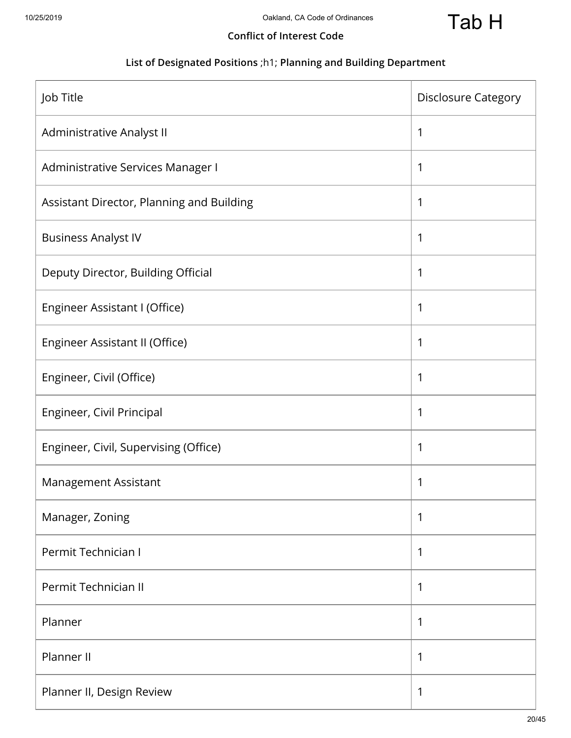

## **Conflict of Interest Code**

# **List of Designated Positions** ;h1; **Planning and Building Department**

| Job Title                                 | <b>Disclosure Category</b> |
|-------------------------------------------|----------------------------|
| Administrative Analyst II                 | 1                          |
| Administrative Services Manager I         | 1                          |
| Assistant Director, Planning and Building | 1                          |
| <b>Business Analyst IV</b>                | 1                          |
| Deputy Director, Building Official        | 1                          |
| Engineer Assistant I (Office)             | 1                          |
| Engineer Assistant II (Office)            | 1                          |
| Engineer, Civil (Office)                  | 1                          |
| Engineer, Civil Principal                 | 1                          |
| Engineer, Civil, Supervising (Office)     | 1                          |
| Management Assistant                      | 1                          |
| Manager, Zoning                           | 1                          |
| Permit Technician I                       | 1                          |
| Permit Technician II                      | 1                          |
| Planner                                   | 1                          |
| Planner II                                | 1                          |
| Planner II, Design Review                 | 1                          |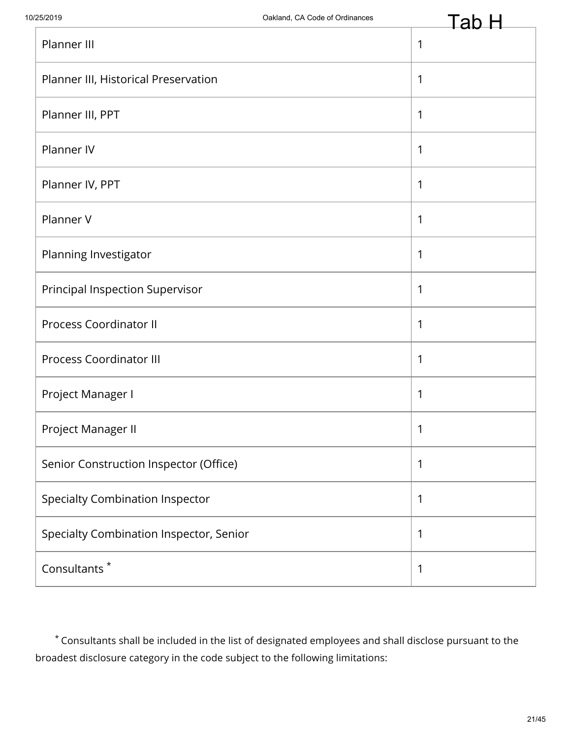| Planner III                             | 1 |
|-----------------------------------------|---|
| Planner III, Historical Preservation    | 1 |
| Planner III, PPT                        | 1 |
| Planner IV                              | 1 |
| Planner IV, PPT                         | 1 |
| Planner V                               | 1 |
| Planning Investigator                   | 1 |
| Principal Inspection Supervisor         | 1 |
| <b>Process Coordinator II</b>           | 1 |
| <b>Process Coordinator III</b>          | 1 |
| Project Manager I                       | 1 |
| Project Manager II                      | 1 |
| Senior Construction Inspector (Office)  | 1 |
| <b>Specialty Combination Inspector</b>  | 1 |
| Specialty Combination Inspector, Senior | 1 |
| Consultants <sup>*</sup>                | 1 |

Consultants shall be included in the list of designated employees and shall disclose pursuant to the \* broadest disclosure category in the code subject to the following limitations: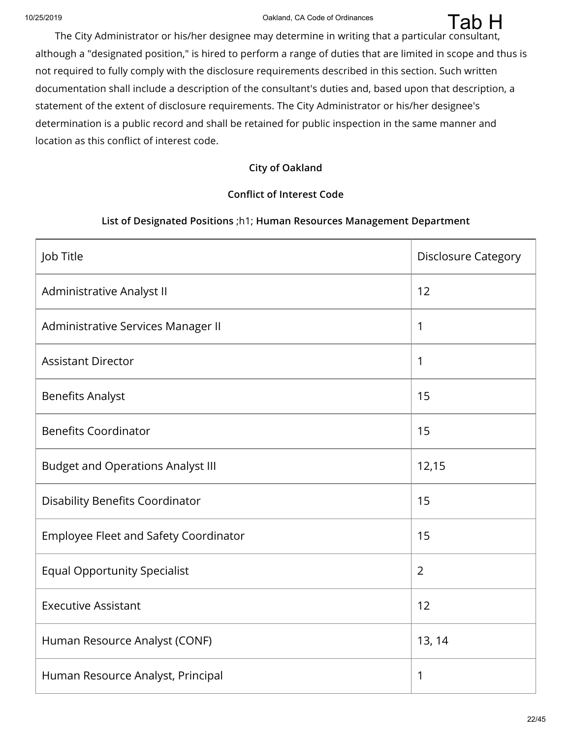Tab H

The City Administrator or his/her designee may determine in writing that a particular consultant, although a "designated position," is hired to perform a range of duties that are limited in scope and thus is not required to fully comply with the disclosure requirements described in this section. Such written documentation shall include a description of the consultant's duties and, based upon that description, a statement of the extent of disclosure requirements. The City Administrator or his/her designee's determination is a public record and shall be retained for public inspection in the same manner and location as this conflict of interest code.

#### **City of Oakland**

# **Conflict of Interest Code**

#### **List of Designated Positions** ;h1; **Human Resources Management Department**

| Job Title                                | <b>Disclosure Category</b> |
|------------------------------------------|----------------------------|
| Administrative Analyst II                | 12                         |
| Administrative Services Manager II       | 1                          |
| <b>Assistant Director</b>                | 1                          |
| <b>Benefits Analyst</b>                  | 15                         |
| <b>Benefits Coordinator</b>              | 15                         |
| <b>Budget and Operations Analyst III</b> | 12,15                      |
| <b>Disability Benefits Coordinator</b>   | 15                         |
| Employee Fleet and Safety Coordinator    | 15                         |
| <b>Equal Opportunity Specialist</b>      | $\overline{2}$             |
| <b>Executive Assistant</b>               | 12                         |
| Human Resource Analyst (CONF)            | 13, 14                     |
| Human Resource Analyst, Principal        | 1                          |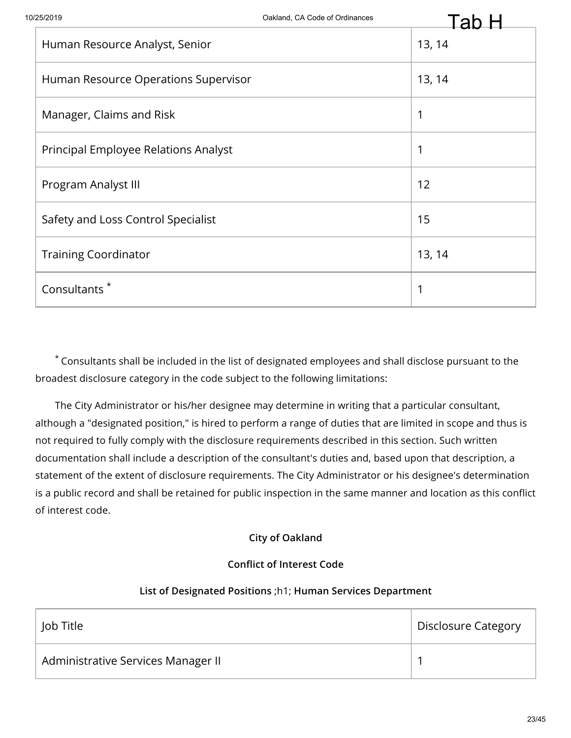|                                      | au     |
|--------------------------------------|--------|
| Human Resource Analyst, Senior       | 13, 14 |
| Human Resource Operations Supervisor | 13, 14 |
| Manager, Claims and Risk             | 1      |
| Principal Employee Relations Analyst | 1      |
| Program Analyst III                  | 12     |
| Safety and Loss Control Specialist   | 15     |
| <b>Training Coordinator</b>          | 13, 14 |
| Consultants <sup>*</sup>             | 1      |

The City Administrator or his/her designee may determine in writing that a particular consultant, although a "designated position," is hired to perform a range of duties that are limited in scope and thus is not required to fully comply with the disclosure requirements described in this section. Such written documentation shall include a description of the consultant's duties and, based upon that description, a statement of the extent of disclosure requirements. The City Administrator or his designee's determination is a public record and shall be retained for public inspection in the same manner and location as this conflict of interest code.

#### **City of Oakland**

#### **Conflict of Interest Code**

#### **List of Designated Positions** ;h1; **Human Services Department**

| Job Title                          | <b>Disclosure Category</b> |
|------------------------------------|----------------------------|
| Administrative Services Manager II |                            |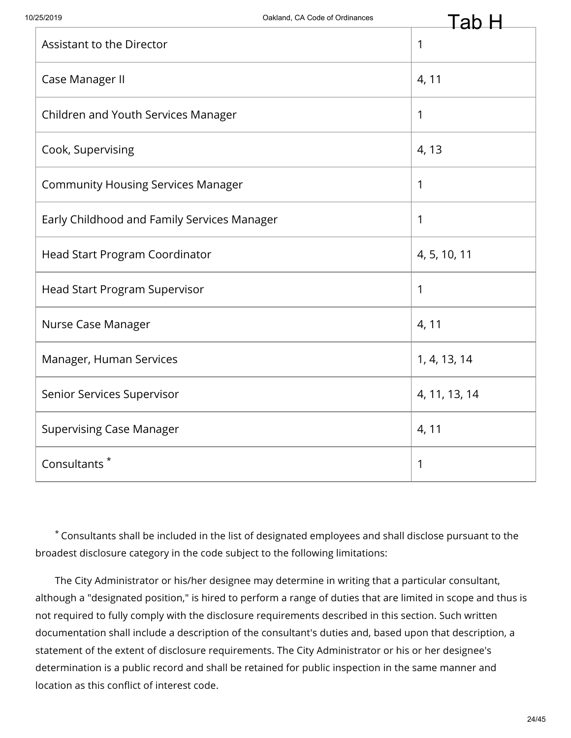| Assistant to the Director                   | 1             |
|---------------------------------------------|---------------|
| Case Manager II                             | 4, 11         |
| Children and Youth Services Manager         | 1             |
| Cook, Supervising                           | 4, 13         |
| <b>Community Housing Services Manager</b>   | 1             |
| Early Childhood and Family Services Manager | 1             |
| <b>Head Start Program Coordinator</b>       | 4, 5, 10, 11  |
| Head Start Program Supervisor               | 1             |
| Nurse Case Manager                          | 4, 11         |
| Manager, Human Services                     | 1, 4, 13, 14  |
| Senior Services Supervisor                  | 4, 11, 13, 14 |
| <b>Supervising Case Manager</b>             | 4, 11         |
| Consultants <sup>*</sup>                    | 1             |

Consultants shall be included in the list of designated employees and shall disclose pursuant to the \* broadest disclosure category in the code subject to the following limitations:

The City Administrator or his/her designee may determine in writing that a particular consultant, although a "designated position," is hired to perform a range of duties that are limited in scope and thus is not required to fully comply with the disclosure requirements described in this section. Such written documentation shall include a description of the consultant's duties and, based upon that description, a statement of the extent of disclosure requirements. The City Administrator or his or her designee's determination is a public record and shall be retained for public inspection in the same manner and location as this conflict of interest code.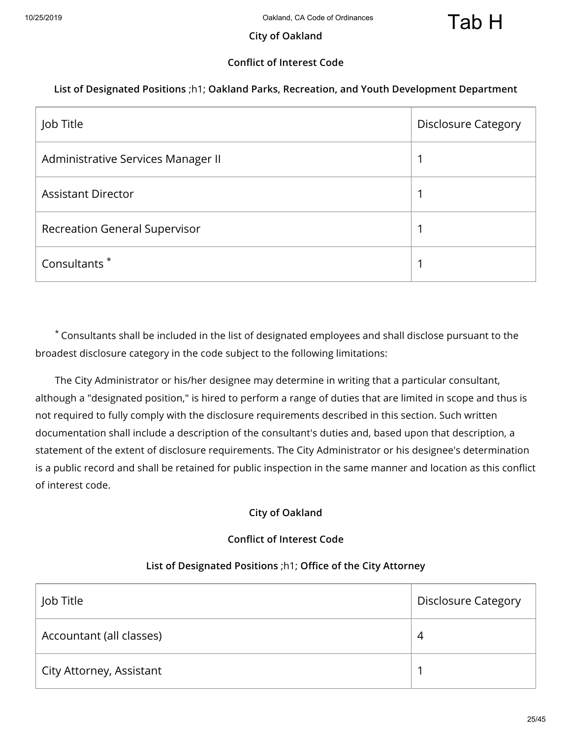## **City of Oakland**

# **Conflict of Interest Code**

#### **List of Designated Positions** ;h1; **Oakland Parks, Recreation, and Youth Development Department**

| Job Title                            | <b>Disclosure Category</b> |
|--------------------------------------|----------------------------|
| Administrative Services Manager II   | ◢                          |
| <b>Assistant Director</b>            |                            |
| <b>Recreation General Supervisor</b> |                            |
| Consultants <sup>*</sup>             |                            |

Consultants shall be included in the list of designated employees and shall disclose pursuant to the \* broadest disclosure category in the code subject to the following limitations:

The City Administrator or his/her designee may determine in writing that a particular consultant, although a "designated position," is hired to perform a range of duties that are limited in scope and thus is not required to fully comply with the disclosure requirements described in this section. Such written documentation shall include a description of the consultant's duties and, based upon that description, a statement of the extent of disclosure requirements. The City Administrator or his designee's determination is a public record and shall be retained for public inspection in the same manner and location as this conflict of interest code.

#### **City of Oakland**

#### **Conflict of Interest Code**

#### **List of Designated Positions** ;h1; **Office of the City Attorney**

| Job Title                | <b>Disclosure Category</b> |
|--------------------------|----------------------------|
| Accountant (all classes) | 4                          |
| City Attorney, Assistant |                            |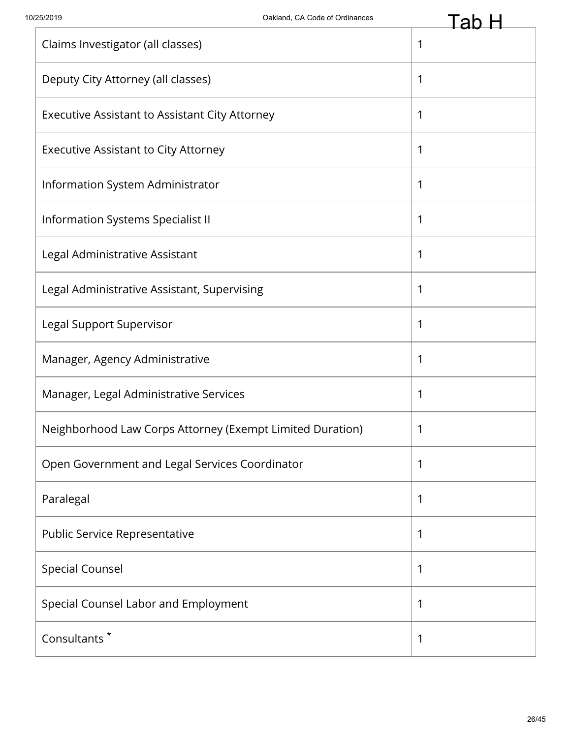| Claims Investigator (all classes)                         | 1 |
|-----------------------------------------------------------|---|
| Deputy City Attorney (all classes)                        | 1 |
| Executive Assistant to Assistant City Attorney            | 1 |
| <b>Executive Assistant to City Attorney</b>               | 1 |
| Information System Administrator                          | 1 |
| Information Systems Specialist II                         | 1 |
| Legal Administrative Assistant                            | 1 |
| Legal Administrative Assistant, Supervising               | 1 |
| Legal Support Supervisor                                  | 1 |
| Manager, Agency Administrative                            | 1 |
| Manager, Legal Administrative Services                    | 1 |
| Neighborhood Law Corps Attorney (Exempt Limited Duration) | 1 |
| Open Government and Legal Services Coordinator            | 1 |
| Paralegal                                                 | 1 |
| Public Service Representative                             | 1 |
| <b>Special Counsel</b>                                    | 1 |
| Special Counsel Labor and Employment                      | 1 |
| Consultants <sup>*</sup>                                  | 1 |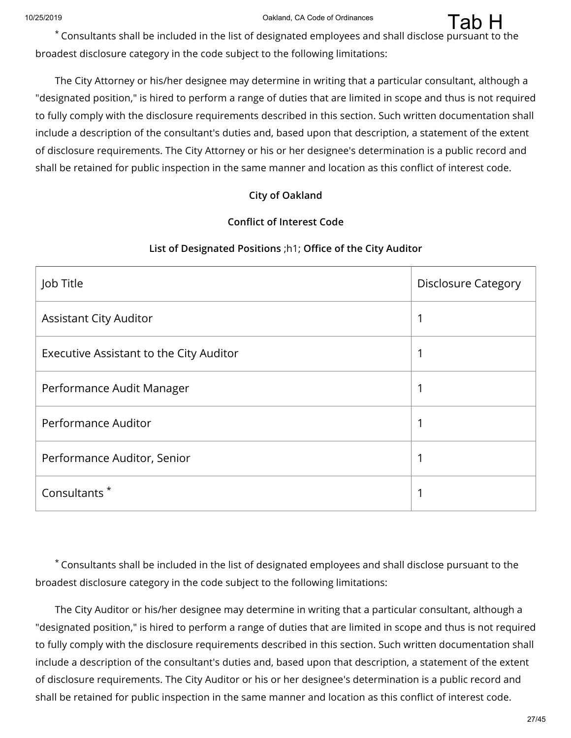<sup>19</sup><br>Consultants shall be included in the list of designated employees and shall disclose pursuant to the \*\* broadest disclosure category in the code subject to the following limitations:

The City Attorney or his/her designee may determine in writing that a particular consultant, although a "designated position," is hired to perform a range of duties that are limited in scope and thus is not required to fully comply with the disclosure requirements described in this section. Such written documentation shall include a description of the consultant's duties and, based upon that description, a statement of the extent of disclosure requirements. The City Attorney or his or her designee's determination is a public record and shall be retained for public inspection in the same manner and location as this conflict of interest code.

#### **City of Oakland**

#### **Conflict of Interest Code**

#### **List of Designated Positions** ;h1; **Office of the City Auditor**

| Job Title                               | <b>Disclosure Category</b> |
|-----------------------------------------|----------------------------|
| <b>Assistant City Auditor</b>           |                            |
| Executive Assistant to the City Auditor |                            |
| Performance Audit Manager               |                            |
| Performance Auditor                     |                            |
| Performance Auditor, Senior             |                            |
| Consultants <sup>*</sup>                |                            |

Consultants shall be included in the list of designated employees and shall disclose pursuant to the \* broadest disclosure category in the code subject to the following limitations:

The City Auditor or his/her designee may determine in writing that a particular consultant, although a "designated position," is hired to perform a range of duties that are limited in scope and thus is not required to fully comply with the disclosure requirements described in this section. Such written documentation shall include a description of the consultant's duties and, based upon that description, a statement of the extent of disclosure requirements. The City Auditor or his or her designee's determination is a public record and shall be retained for public inspection in the same manner and location as this conflict of interest code.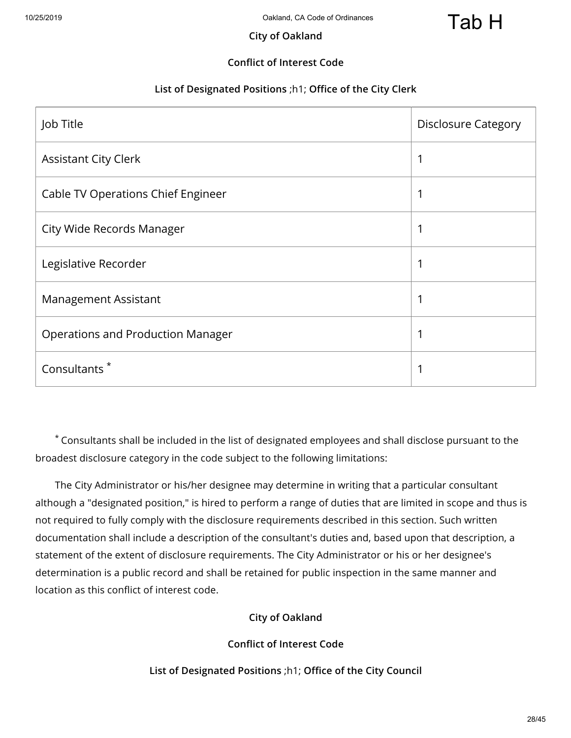#### **City of Oakland**

## **Conflict of Interest Code**

#### **List of Designated Positions** ;h1; **Office of the City Clerk**

| Job Title                                | <b>Disclosure Category</b> |
|------------------------------------------|----------------------------|
| <b>Assistant City Clerk</b>              | 1                          |
| Cable TV Operations Chief Engineer       |                            |
| City Wide Records Manager                | 1                          |
| Legislative Recorder                     | 1                          |
| <b>Management Assistant</b>              | 1                          |
| <b>Operations and Production Manager</b> | 1                          |
| Consultants <sup>*</sup>                 | 1                          |

Consultants shall be included in the list of designated employees and shall disclose pursuant to the \* broadest disclosure category in the code subject to the following limitations:

The City Administrator or his/her designee may determine in writing that a particular consultant although a "designated position," is hired to perform a range of duties that are limited in scope and thus is not required to fully comply with the disclosure requirements described in this section. Such written documentation shall include a description of the consultant's duties and, based upon that description, a statement of the extent of disclosure requirements. The City Administrator or his or her designee's determination is a public record and shall be retained for public inspection in the same manner and location as this conflict of interest code.

# **City of Oakland**

#### **Conflict of Interest Code**

**List of Designated Positions** ;h1; **Office of the City Council**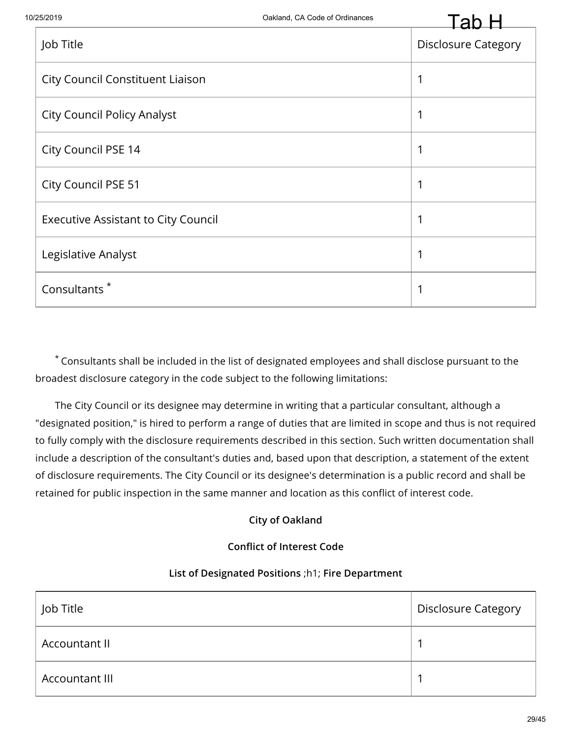| Job Title                                  | <b>Disclosure Category</b> |
|--------------------------------------------|----------------------------|
| <b>City Council Constituent Liaison</b>    | 1                          |
| <b>City Council Policy Analyst</b>         |                            |
| City Council PSE 14                        | 1                          |
| City Council PSE 51                        | 1                          |
| <b>Executive Assistant to City Council</b> |                            |
| Legislative Analyst                        |                            |
| Consultants <sup>*</sup>                   | ◀                          |

Consultants shall be included in the list of designated employees and shall disclose pursuant to the \* broadest disclosure category in the code subject to the following limitations:

The City Council or its designee may determine in writing that a particular consultant, although a "designated position," is hired to perform a range of duties that are limited in scope and thus is not required to fully comply with the disclosure requirements described in this section. Such written documentation shall include a description of the consultant's duties and, based upon that description, a statement of the extent of disclosure requirements. The City Council or its designee's determination is a public record and shall be retained for public inspection in the same manner and location as this conflict of interest code.

#### **City of Oakland**

#### **Conflict of Interest Code**

#### **List of Designated Positions** ;h1; **Fire Department**

| Job Title             | <b>Disclosure Category</b> |
|-----------------------|----------------------------|
| Accountant II         |                            |
| <b>Accountant III</b> |                            |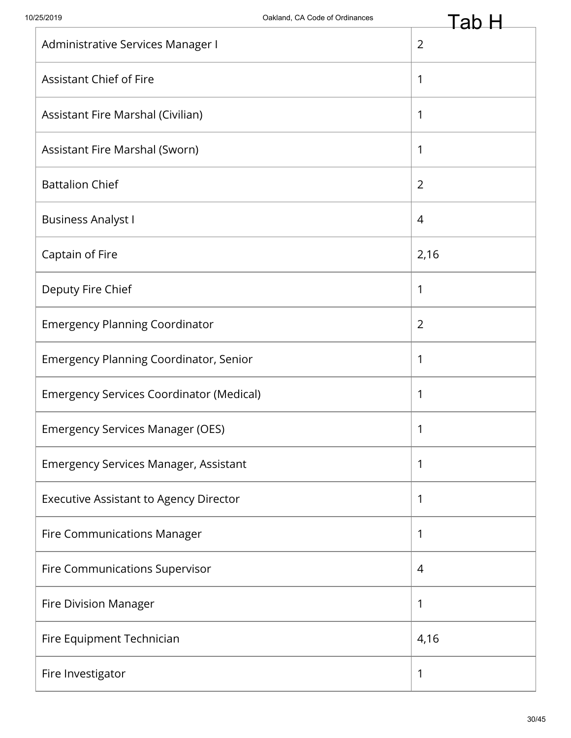|                                                 | Fan-           |
|-------------------------------------------------|----------------|
| Administrative Services Manager I               | $\overline{2}$ |
| <b>Assistant Chief of Fire</b>                  | 1              |
| Assistant Fire Marshal (Civilian)               | 1              |
| Assistant Fire Marshal (Sworn)                  | 1              |
| <b>Battalion Chief</b>                          | $\overline{2}$ |
| <b>Business Analyst I</b>                       | 4              |
| Captain of Fire                                 | 2,16           |
| Deputy Fire Chief                               | 1              |
| <b>Emergency Planning Coordinator</b>           | $\overline{2}$ |
| <b>Emergency Planning Coordinator, Senior</b>   | 1              |
| <b>Emergency Services Coordinator (Medical)</b> | 1              |
| <b>Emergency Services Manager (OES)</b>         | 1              |
| <b>Emergency Services Manager, Assistant</b>    | 1              |
| <b>Executive Assistant to Agency Director</b>   | 1              |
| <b>Fire Communications Manager</b>              | 1              |
| Fire Communications Supervisor                  | 4              |
| <b>Fire Division Manager</b>                    | 1              |
| Fire Equipment Technician                       | 4,16           |
| Fire Investigator                               | 1              |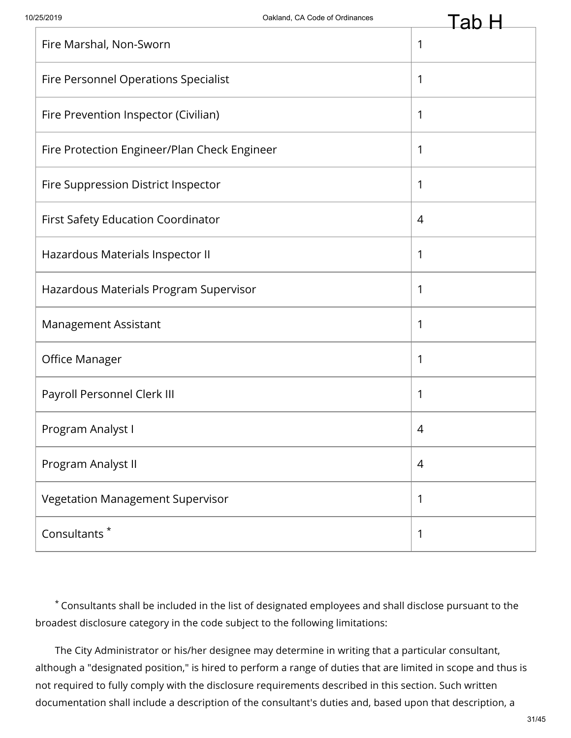| Fire Marshal, Non-Sworn                      | 1              |
|----------------------------------------------|----------------|
| Fire Personnel Operations Specialist         | 1              |
| Fire Prevention Inspector (Civilian)         | 1              |
| Fire Protection Engineer/Plan Check Engineer | 1              |
| Fire Suppression District Inspector          | 1              |
| First Safety Education Coordinator           | 4              |
| Hazardous Materials Inspector II             | 1              |
| Hazardous Materials Program Supervisor       | 1              |
| Management Assistant                         | 1              |
| Office Manager                               | 1              |
| Payroll Personnel Clerk III                  | 1              |
| Program Analyst I                            | 4              |
| Program Analyst II                           | $\overline{4}$ |
| Vegetation Management Supervisor             | 1              |
| Consultants <sup>*</sup>                     | 1              |

Consultants shall be included in the list of designated employees and shall disclose pursuant to the \* broadest disclosure category in the code subject to the following limitations:

The City Administrator or his/her designee may determine in writing that a particular consultant, although a "designated position," is hired to perform a range of duties that are limited in scope and thus is not required to fully comply with the disclosure requirements described in this section. Such written documentation shall include a description of the consultant's duties and, based upon that description, a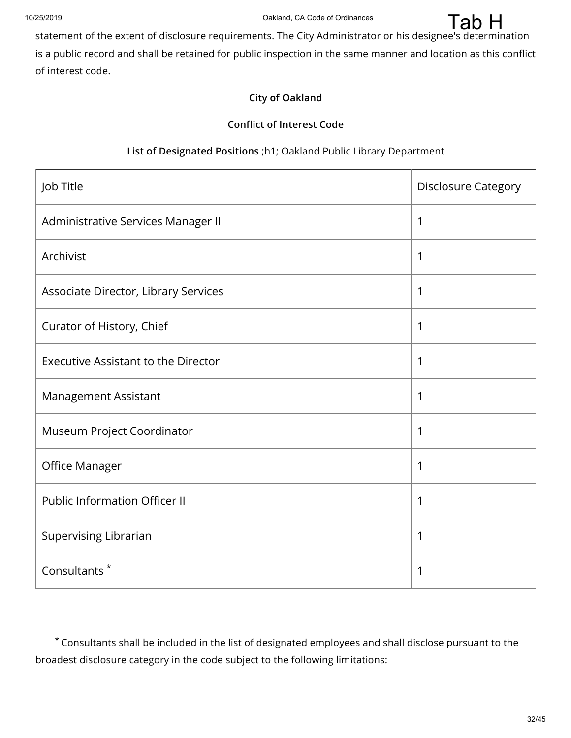

#### **City of Oakland**

#### **Conflict of Interest Code**

## **List of Designated Positions** ;h1; Oakland Public Library Department

| Job Title                                  | <b>Disclosure Category</b> |
|--------------------------------------------|----------------------------|
| Administrative Services Manager II         | 1                          |
| Archivist                                  | 1                          |
| Associate Director, Library Services       | 1                          |
| Curator of History, Chief                  | 1                          |
| <b>Executive Assistant to the Director</b> | 1                          |
| Management Assistant                       | 1                          |
| Museum Project Coordinator                 | 1                          |
| Office Manager                             | 1                          |
| <b>Public Information Officer II</b>       | 1                          |
| Supervising Librarian                      | 1                          |
| Consultants <sup>*</sup>                   | 1                          |

Consultants shall be included in the list of designated employees and shall disclose pursuant to the \* broadest disclosure category in the code subject to the following limitations: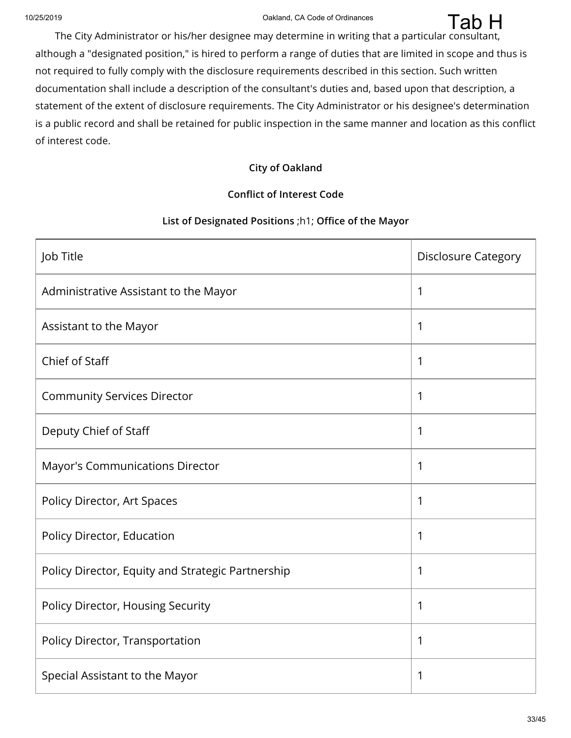Tab H

The City Administrator or his/her designee may determine in writing that a particular consultant, although a "designated position," is hired to perform a range of duties that are limited in scope and thus is not required to fully comply with the disclosure requirements described in this section. Such written documentation shall include a description of the consultant's duties and, based upon that description, a statement of the extent of disclosure requirements. The City Administrator or his designee's determination is a public record and shall be retained for public inspection in the same manner and location as this conflict of interest code.

#### **City of Oakland**

#### **Conflict of Interest Code**

#### **List of Designated Positions** ;h1; **Office of the Mayor**

| Job Title                                         | <b>Disclosure Category</b> |
|---------------------------------------------------|----------------------------|
| Administrative Assistant to the Mayor             | 1                          |
| Assistant to the Mayor                            | 1                          |
| Chief of Staff                                    | 1                          |
| <b>Community Services Director</b>                | 1                          |
| Deputy Chief of Staff                             | 1                          |
| <b>Mayor's Communications Director</b>            | 1                          |
| Policy Director, Art Spaces                       | 1                          |
| Policy Director, Education                        | 1                          |
| Policy Director, Equity and Strategic Partnership | 1                          |
| Policy Director, Housing Security                 | 1                          |
| Policy Director, Transportation                   | 1                          |
| Special Assistant to the Mayor                    | 1                          |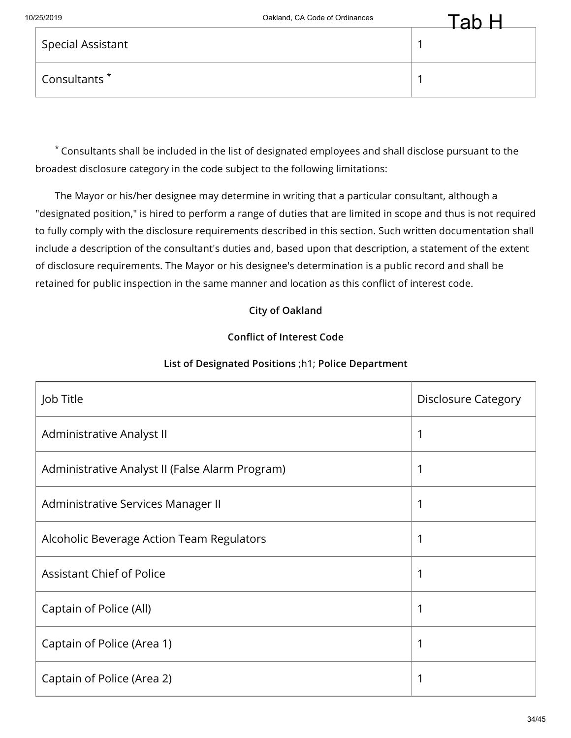| Consultants |  |
|-------------|--|
|             |  |

Special Assistant 1

The Mayor or his/her designee may determine in writing that a particular consultant, although a "designated position," is hired to perform a range of duties that are limited in scope and thus is not required to fully comply with the disclosure requirements described in this section. Such written documentation shall include a description of the consultant's duties and, based upon that description, a statement of the extent of disclosure requirements. The Mayor or his designee's determination is a public record and shall be retained for public inspection in the same manner and location as this conflict of interest code.

# **City of Oakland**

## **Conflict of Interest Code**

| Job Title                                       | <b>Disclosure Category</b> |
|-------------------------------------------------|----------------------------|
| Administrative Analyst II                       | 1                          |
| Administrative Analyst II (False Alarm Program) | 1                          |
| Administrative Services Manager II              | 1                          |
| Alcoholic Beverage Action Team Regulators       | 1                          |
| <b>Assistant Chief of Police</b>                | 1                          |
| Captain of Police (All)                         | 1                          |
| Captain of Police (Area 1)                      | 1                          |
| Captain of Police (Area 2)                      | 1                          |

## **List of Designated Positions** ;h1; **Police Department**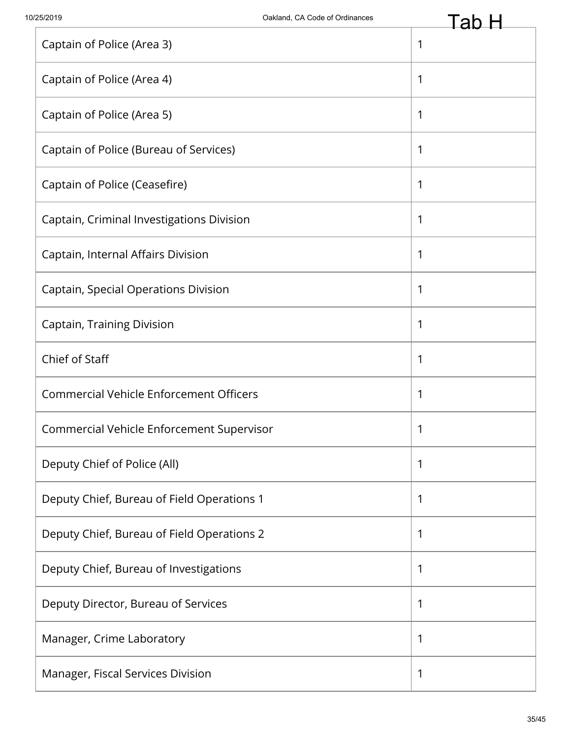|                                                | Lau          |
|------------------------------------------------|--------------|
| Captain of Police (Area 3)                     | $\mathbf{1}$ |
| Captain of Police (Area 4)                     | $\mathbf{1}$ |
| Captain of Police (Area 5)                     | $\mathbf{1}$ |
| Captain of Police (Bureau of Services)         | 1            |
| Captain of Police (Ceasefire)                  | $\mathbf{1}$ |
| Captain, Criminal Investigations Division      | $\mathbf 1$  |
| Captain, Internal Affairs Division             | $\mathbf 1$  |
| Captain, Special Operations Division           | 1            |
| Captain, Training Division                     | $\mathbf 1$  |
| Chief of Staff                                 | $\mathbf 1$  |
| <b>Commercial Vehicle Enforcement Officers</b> | $\mathbf{1}$ |
| Commercial Vehicle Enforcement Supervisor      | 1            |
| Deputy Chief of Police (All)                   | $\mathbf{1}$ |
| Deputy Chief, Bureau of Field Operations 1     | $\mathbf 1$  |
| Deputy Chief, Bureau of Field Operations 2     | $\mathbf{1}$ |
| Deputy Chief, Bureau of Investigations         | 1            |
| Deputy Director, Bureau of Services            | $\mathbf{1}$ |
| Manager, Crime Laboratory                      | $\mathbf 1$  |
| Manager, Fiscal Services Division              | 1            |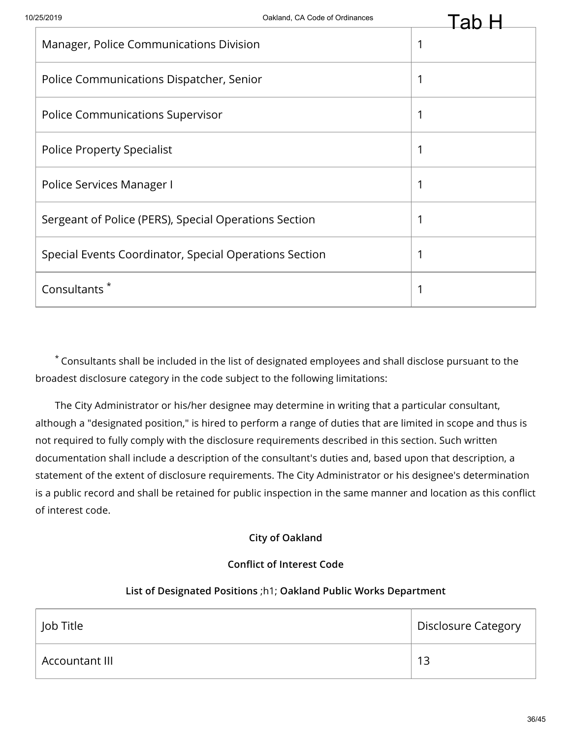| Manager, Police Communications Division                | 1 |
|--------------------------------------------------------|---|
| Police Communications Dispatcher, Senior               |   |
| <b>Police Communications Supervisor</b>                |   |
| <b>Police Property Specialist</b>                      |   |
| Police Services Manager I                              |   |
| Sergeant of Police (PERS), Special Operations Section  |   |
| Special Events Coordinator, Special Operations Section |   |
| Consultants                                            |   |

The City Administrator or his/her designee may determine in writing that a particular consultant, although a "designated position," is hired to perform a range of duties that are limited in scope and thus is not required to fully comply with the disclosure requirements described in this section. Such written documentation shall include a description of the consultant's duties and, based upon that description, a statement of the extent of disclosure requirements. The City Administrator or his designee's determination is a public record and shall be retained for public inspection in the same manner and location as this conflict of interest code.

#### **City of Oakland**

#### **Conflict of Interest Code**

#### **List of Designated Positions** ;h1; **Oakland Public Works Department**

| ้ Job Title    | Disclosure Category |
|----------------|---------------------|
| Accountant III | 13                  |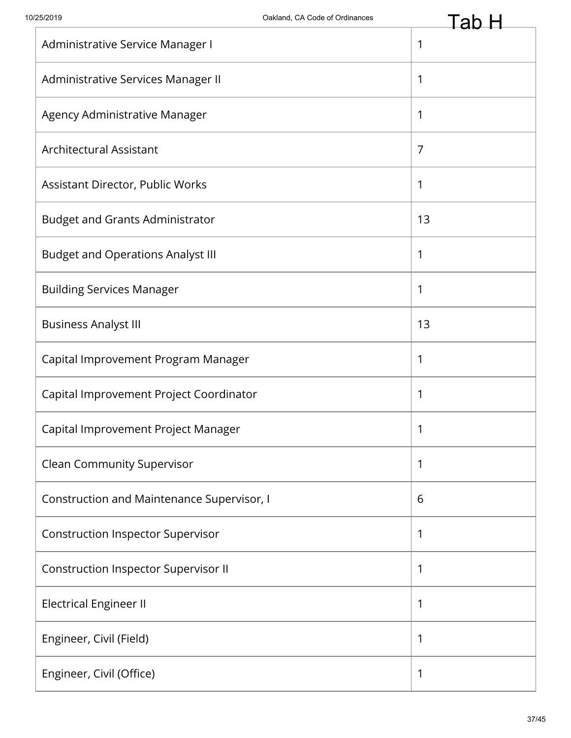|                                            | Lav          |
|--------------------------------------------|--------------|
| Administrative Service Manager I           | $\mathbf 1$  |
| Administrative Services Manager II         | $\mathbf{1}$ |
| Agency Administrative Manager              | 1            |
| Architectural Assistant                    | 7            |
| Assistant Director, Public Works           | 1            |
| <b>Budget and Grants Administrator</b>     | 13           |
| <b>Budget and Operations Analyst III</b>   | 1            |
| <b>Building Services Manager</b>           | $\mathbf{1}$ |
| <b>Business Analyst III</b>                | 13           |
| Capital Improvement Program Manager        | 1            |
| Capital Improvement Project Coordinator    | 1            |
| Capital Improvement Project Manager        | 1            |
| <b>Clean Community Supervisor</b>          | 1            |
| Construction and Maintenance Supervisor, I | 6            |
| <b>Construction Inspector Supervisor</b>   | 1            |
| Construction Inspector Supervisor II       | 1            |
| <b>Electrical Engineer II</b>              | 1            |
| Engineer, Civil (Field)                    | $\mathbf{1}$ |
| Engineer, Civil (Office)                   | 1            |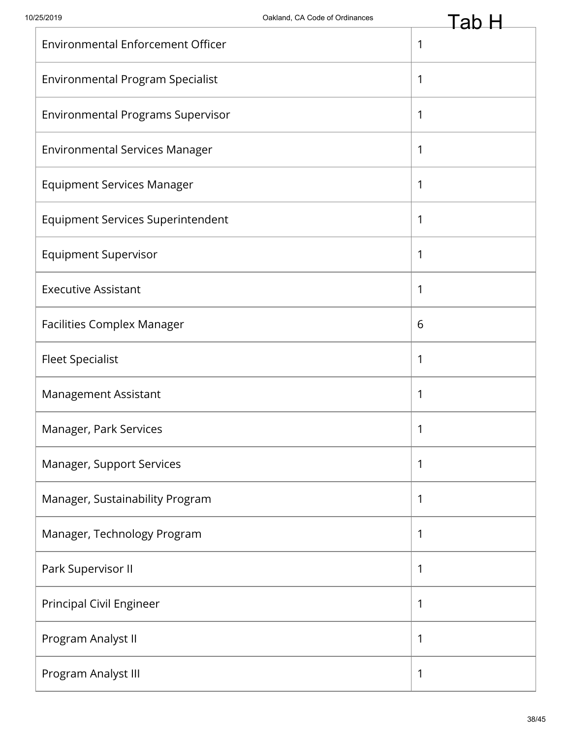| <b>Environmental Enforcement Officer</b> | 1            |
|------------------------------------------|--------------|
| <b>Environmental Program Specialist</b>  | 1            |
| <b>Environmental Programs Supervisor</b> | 1            |
| <b>Environmental Services Manager</b>    | 1            |
| <b>Equipment Services Manager</b>        | 1            |
| <b>Equipment Services Superintendent</b> | 1            |
| <b>Equipment Supervisor</b>              | $\mathbf{1}$ |
| <b>Executive Assistant</b>               | 1            |
| <b>Facilities Complex Manager</b>        | 6            |
| <b>Fleet Specialist</b>                  | 1            |
| Management Assistant                     | 1            |
| Manager, Park Services                   | 1            |
| Manager, Support Services                | 1            |
| Manager, Sustainability Program          | 1            |
| Manager, Technology Program              | 1            |
| Park Supervisor II                       | 1            |
| Principal Civil Engineer                 | 1            |
| Program Analyst II                       | 1            |
| Program Analyst III                      | $\mathbf{1}$ |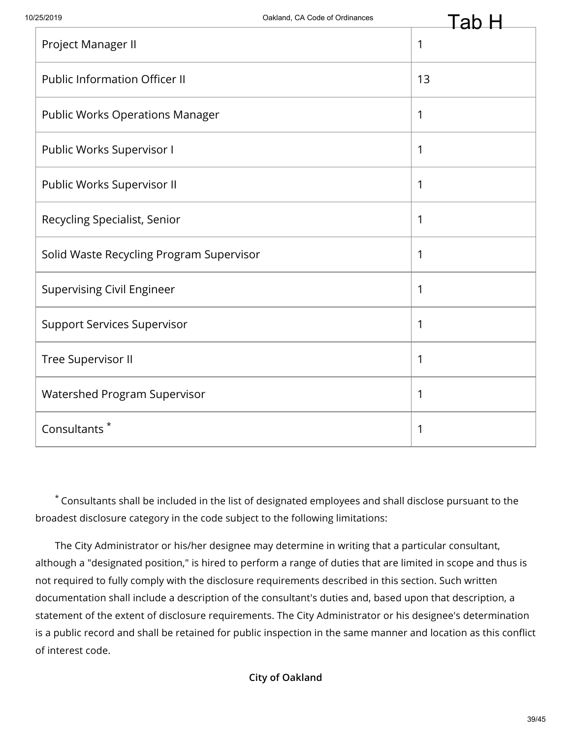|                                          | au |
|------------------------------------------|----|
| Project Manager II                       | 1  |
| <b>Public Information Officer II</b>     | 13 |
| <b>Public Works Operations Manager</b>   | 1  |
| Public Works Supervisor I                | 1  |
| Public Works Supervisor II               | 1  |
| Recycling Specialist, Senior             | 1  |
| Solid Waste Recycling Program Supervisor | 1  |
| <b>Supervising Civil Engineer</b>        | 1  |
| <b>Support Services Supervisor</b>       | 1  |
| Tree Supervisor II                       | 1  |
| Watershed Program Supervisor             | 1  |
| Consultants <sup>*</sup>                 | 1  |
|                                          |    |

The City Administrator or his/her designee may determine in writing that a particular consultant, although a "designated position," is hired to perform a range of duties that are limited in scope and thus is not required to fully comply with the disclosure requirements described in this section. Such written documentation shall include a description of the consultant's duties and, based upon that description, a statement of the extent of disclosure requirements. The City Administrator or his designee's determination is a public record and shall be retained for public inspection in the same manner and location as this conflict of interest code.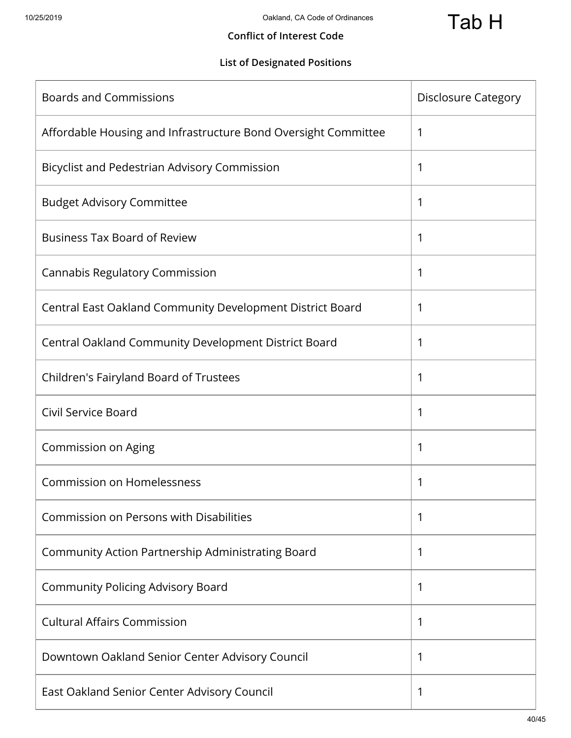#### **Conflict of Interest Code**

# **List of Designated Positions**

| <b>Boards and Commissions</b>                                  | <b>Disclosure Category</b> |
|----------------------------------------------------------------|----------------------------|
| Affordable Housing and Infrastructure Bond Oversight Committee | 1                          |
| Bicyclist and Pedestrian Advisory Commission                   | 1                          |
| <b>Budget Advisory Committee</b>                               | 1                          |
| <b>Business Tax Board of Review</b>                            | 1                          |
| <b>Cannabis Regulatory Commission</b>                          | 1                          |
| Central East Oakland Community Development District Board      | 1                          |
| Central Oakland Community Development District Board           | 1                          |
| Children's Fairyland Board of Trustees                         | 1                          |
| Civil Service Board                                            | 1                          |
| Commission on Aging                                            | 1                          |
| <b>Commission on Homelessness</b>                              | 1                          |
| Commission on Persons with Disabilities                        | 1                          |
| Community Action Partnership Administrating Board              | 1                          |
| <b>Community Policing Advisory Board</b>                       | 1                          |
| <b>Cultural Affairs Commission</b>                             | 1                          |
| Downtown Oakland Senior Center Advisory Council                | 1                          |
| East Oakland Senior Center Advisory Council                    | 1                          |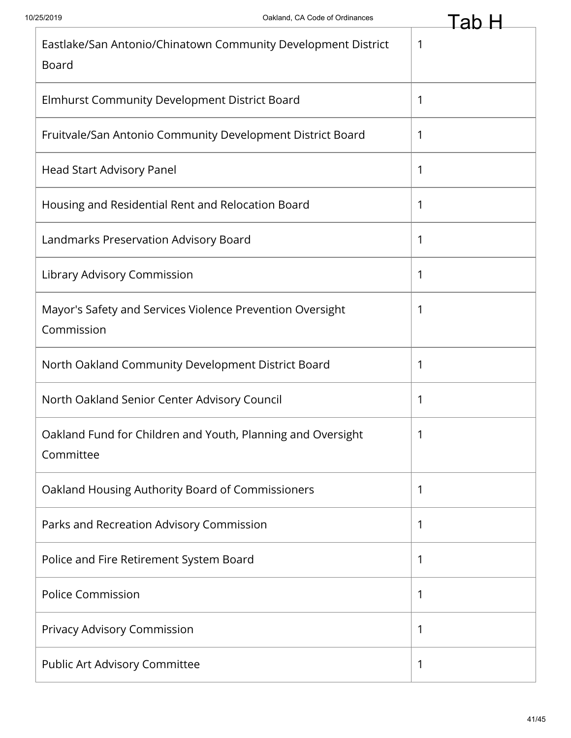| Eastlake/San Antonio/Chinatown Community Development District<br><b>Board</b> | 1 |
|-------------------------------------------------------------------------------|---|
| Elmhurst Community Development District Board                                 | 1 |
| Fruitvale/San Antonio Community Development District Board                    | 1 |
| Head Start Advisory Panel                                                     | 1 |
| Housing and Residential Rent and Relocation Board                             | 1 |
| Landmarks Preservation Advisory Board                                         | 1 |
| Library Advisory Commission                                                   | 1 |
| Mayor's Safety and Services Violence Prevention Oversight<br>Commission       | 1 |
| North Oakland Community Development District Board                            | 1 |
| North Oakland Senior Center Advisory Council                                  | 1 |
| Oakland Fund for Children and Youth, Planning and Oversight<br>Committee      | 1 |
| Oakland Housing Authority Board of Commissioners                              | 1 |
| Parks and Recreation Advisory Commission                                      | 1 |
| Police and Fire Retirement System Board                                       | 1 |
| <b>Police Commission</b>                                                      | 1 |
| Privacy Advisory Commission                                                   | 1 |
| Public Art Advisory Committee                                                 | 1 |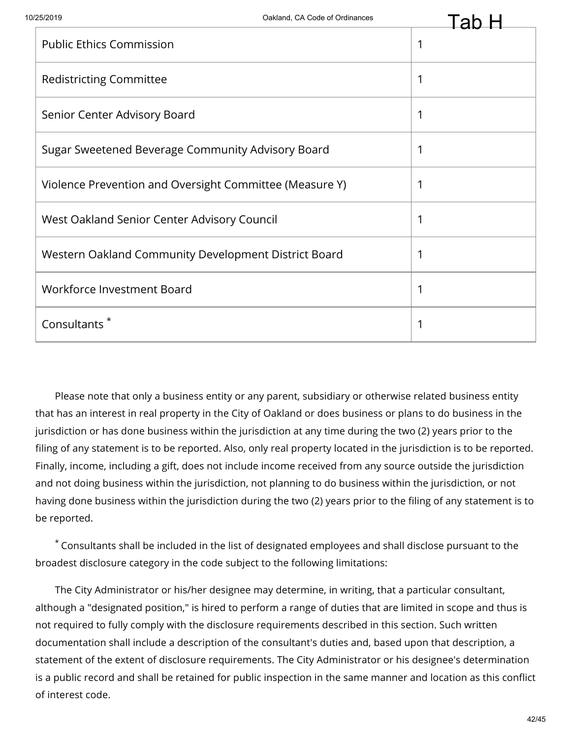| <b>Public Ethics Commission</b>                         | $\mathbf 1$ |
|---------------------------------------------------------|-------------|
| <b>Redistricting Committee</b>                          | 1           |
| Senior Center Advisory Board                            | $\mathbf 1$ |
| Sugar Sweetened Beverage Community Advisory Board       | 1           |
| Violence Prevention and Oversight Committee (Measure Y) | 1           |
| West Oakland Senior Center Advisory Council             | 1           |
| Western Oakland Community Development District Board    | $\mathbf 1$ |
| Workforce Investment Board                              | $\mathbf 1$ |
| Consultants <sup>*</sup>                                | $\mathbf 1$ |

Please note that only a business entity or any parent, subsidiary or otherwise related business entity that has an interest in real property in the City of Oakland or does business or plans to do business in the jurisdiction or has done business within the jurisdiction at any time during the two (2) years prior to the filing of any statement is to be reported. Also, only real property located in the jurisdiction is to be reported. Finally, income, including a gift, does not include income received from any source outside the jurisdiction and not doing business within the jurisdiction, not planning to do business within the jurisdiction, or not having done business within the jurisdiction during the two (2) years prior to the filing of any statement is to be reported.

Consultants shall be included in the list of designated employees and shall disclose pursuant to the \* broadest disclosure category in the code subject to the following limitations:

The City Administrator or his/her designee may determine, in writing, that a particular consultant, although a "designated position," is hired to perform a range of duties that are limited in scope and thus is not required to fully comply with the disclosure requirements described in this section. Such written documentation shall include a description of the consultant's duties and, based upon that description, a statement of the extent of disclosure requirements. The City Administrator or his designee's determination is a public record and shall be retained for public inspection in the same manner and location as this conflict of interest code.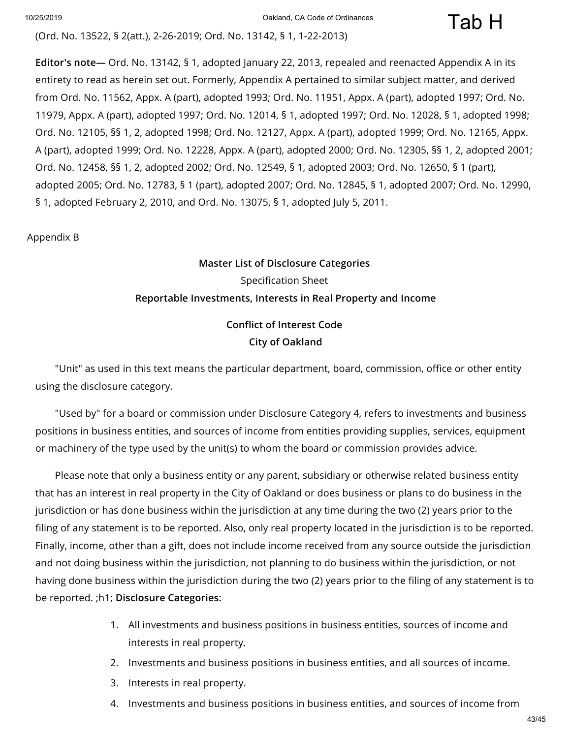Tab H

(Ord. No. 13522, § 2(att.), 2-26-2019; Ord. No. 13142, § 1, 1-22-2013)

**Editor's note—** Ord. No. 13142, § 1, adopted January 22, 2013, repealed and reenacted Appendix A in its entirety to read as herein set out. Formerly, Appendix A pertained to similar subject matter, and derived from Ord. No. 11562, Appx. A (part), adopted 1993; Ord. No. 11951, Appx. A (part), adopted 1997; Ord. No. 11979, Appx. A (part), adopted 1997; Ord. No. 12014, § 1, adopted 1997; Ord. No. 12028, § 1, adopted 1998; Ord. No. 12105, §§ 1, 2, adopted 1998; Ord. No. 12127, Appx. A (part), adopted 1999; Ord. No. 12165, Appx. A (part), adopted 1999; Ord. No. 12228, Appx. A (part), adopted 2000; Ord. No. 12305, §§ 1, 2, adopted 2001; Ord. No. 12458, §§ 1, 2, adopted 2002; Ord. No. 12549, § 1, adopted 2003; Ord. No. 12650, § 1 (part), adopted 2005; Ord. No. 12783, § 1 (part), adopted 2007; Ord. No. 12845, § 1, adopted 2007; Ord. No. 12990, § 1, adopted February 2, 2010, and Ord. No. 13075, § 1, adopted July 5, 2011.

Appendix B

# **Master List of Disclosure Categories** Specification Sheet **Reportable Investments, Interests in Real Property and Income**

# **Conflict of Interest Code City of Oakland**

"Unit" as used in this text means the particular department, board, commission, office or other entity using the disclosure category.

"Used by" for a board or commission under Disclosure Category 4, refers to investments and business positions in business entities, and sources of income from entities providing supplies, services, equipment or machinery of the type used by the unit(s) to whom the board or commission provides advice.

Please note that only a business entity or any parent, subsidiary or otherwise related business entity that has an interest in real property in the City of Oakland or does business or plans to do business in the jurisdiction or has done business within the jurisdiction at any time during the two (2) years prior to the filing of any statement is to be reported. Also, only real property located in the jurisdiction is to be reported. Finally, income, other than a gift, does not include income received from any source outside the jurisdiction and not doing business within the jurisdiction, not planning to do business within the jurisdiction, or not having done business within the jurisdiction during the two (2) years prior to the filing of any statement is to be reported. ;h1; **Disclosure Categories:**

- 1. All investments and business positions in business entities, sources of income and interests in real property.
- 2. Investments and business positions in business entities, and all sources of income.
- 3. Interests in real property.
- 4. Investments and business positions in business entities, and sources of income from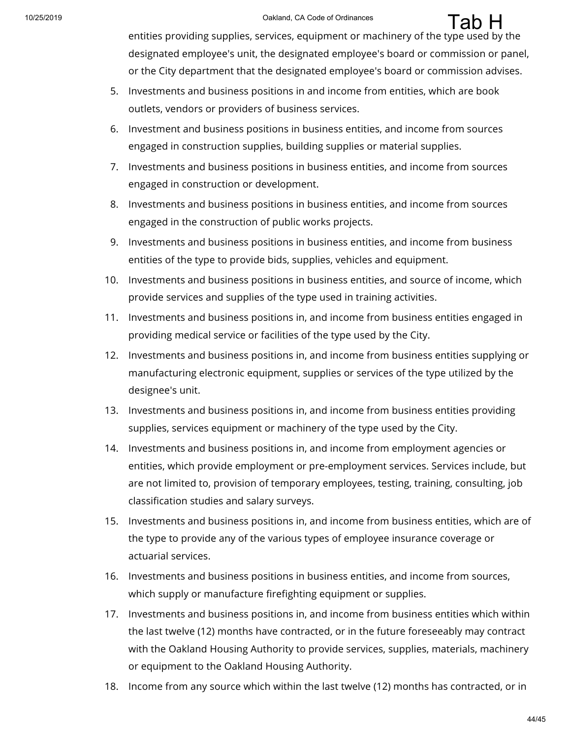entities providing supplies, services, equipment or machinery of the type used by the designated employee's unit, the designated employee's board or commission or panel, or the City department that the designated employee's board or commission advises.

- 5. Investments and business positions in and income from entities, which are book outlets, vendors or providers of business services.
- 6. Investment and business positions in business entities, and income from sources engaged in construction supplies, building supplies or material supplies.
- 7. Investments and business positions in business entities, and income from sources engaged in construction or development.
- 8. Investments and business positions in business entities, and income from sources engaged in the construction of public works projects.
- 9. Investments and business positions in business entities, and income from business entities of the type to provide bids, supplies, vehicles and equipment.
- 10. Investments and business positions in business entities, and source of income, which provide services and supplies of the type used in training activities.
- 11. Investments and business positions in, and income from business entities engaged in providing medical service or facilities of the type used by the City.
- 12. Investments and business positions in, and income from business entities supplying or manufacturing electronic equipment, supplies or services of the type utilized by the designee's unit.
- 13. Investments and business positions in, and income from business entities providing supplies, services equipment or machinery of the type used by the City.
- 14. Investments and business positions in, and income from employment agencies or entities, which provide employment or pre-employment services. Services include, but are not limited to, provision of temporary employees, testing, training, consulting, job classification studies and salary surveys.
- 15. Investments and business positions in, and income from business entities, which are of the type to provide any of the various types of employee insurance coverage or actuarial services.
- 16. Investments and business positions in business entities, and income from sources, which supply or manufacture firefighting equipment or supplies.
- 17. Investments and business positions in, and income from business entities which within the last twelve (12) months have contracted, or in the future foreseeably may contract with the Oakland Housing Authority to provide services, supplies, materials, machinery or equipment to the Oakland Housing Authority.
- 18. Income from any source which within the last twelve (12) months has contracted, or in